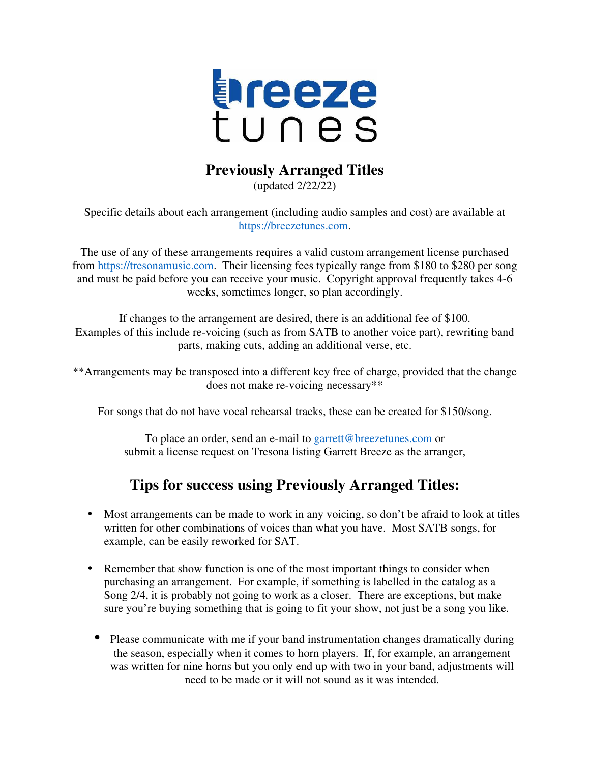

#### **Previously Arranged Titles**

(updated 2/22/22)

Specific details about each arrangement (including audio samples and cost) are available at https://breezetunes.com.

The use of any of these arrangements requires a valid custom arrangement license purchased from https://tresonamusic.com. Their licensing fees typically range from \$180 to \$280 per song and must be paid before you can receive your music. Copyright approval frequently takes 4-6 weeks, sometimes longer, so plan accordingly.

If changes to the arrangement are desired, there is an additional fee of \$100. Examples of this include re-voicing (such as from SATB to another voice part), rewriting band parts, making cuts, adding an additional verse, etc.

\*\*Arrangements may be transposed into a different key free of charge, provided that the change does not make re-voicing necessary\*\*

For songs that do not have vocal rehearsal tracks, these can be created for \$150/song.

To place an order, send an e-mail to garrett@breezetunes.com or submit a license request on Tresona listing Garrett Breeze as the arranger,

### **Tips for success using Previously Arranged Titles:**

- Most arrangements can be made to work in any voicing, so don't be afraid to look at titles written for other combinations of voices than what you have. Most SATB songs, for example, can be easily reworked for SAT.
- Remember that show function is one of the most important things to consider when purchasing an arrangement. For example, if something is labelled in the catalog as a Song 2/4, it is probably not going to work as a closer. There are exceptions, but make sure you're buying something that is going to fit your show, not just be a song you like.
	- Please communicate with me if your band instrumentation changes dramatically during the season, especially when it comes to horn players. If, for example, an arrangement was written for nine horns but you only end up with two in your band, adjustments will need to be made or it will not sound as it was intended.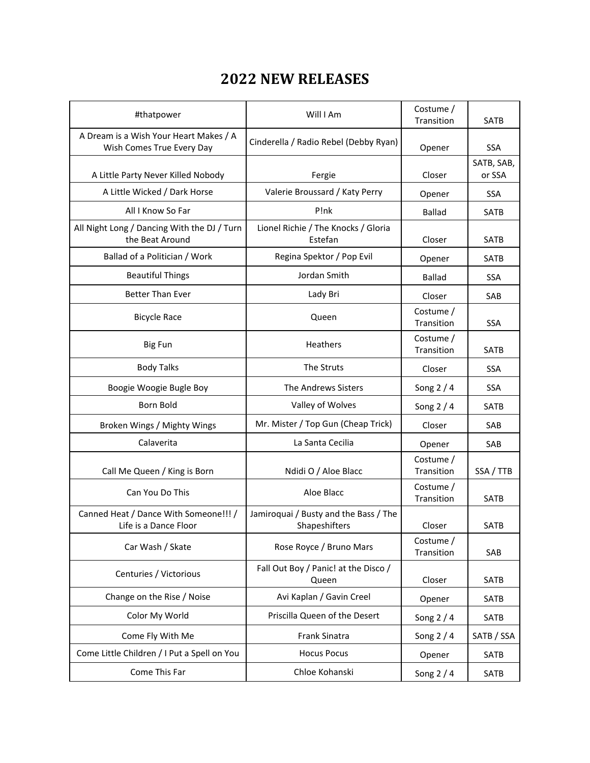### **2022 NEW RELEASES**

| #thatpower                                                          | Will I Am                                              | Costume /<br>Transition | <b>SATB</b>          |
|---------------------------------------------------------------------|--------------------------------------------------------|-------------------------|----------------------|
| A Dream is a Wish Your Heart Makes / A<br>Wish Comes True Every Day | Cinderella / Radio Rebel (Debby Ryan)                  | Opener                  | <b>SSA</b>           |
| A Little Party Never Killed Nobody                                  | Fergie                                                 | Closer                  | SATB, SAB,<br>or SSA |
| A Little Wicked / Dark Horse                                        | Valerie Broussard / Katy Perry                         | Opener                  | <b>SSA</b>           |
| All I Know So Far                                                   | P!nk                                                   | <b>Ballad</b>           | SATB                 |
| All Night Long / Dancing With the DJ / Turn<br>the Beat Around      | Lionel Richie / The Knocks / Gloria<br>Estefan         | Closer                  | <b>SATB</b>          |
| Ballad of a Politician / Work                                       | Regina Spektor / Pop Evil                              | Opener                  | SATB                 |
| <b>Beautiful Things</b>                                             | Jordan Smith                                           | <b>Ballad</b>           | <b>SSA</b>           |
| <b>Better Than Ever</b>                                             | Lady Bri                                               | Closer                  | SAB                  |
| <b>Bicycle Race</b>                                                 | Queen                                                  | Costume /<br>Transition | <b>SSA</b>           |
| <b>Big Fun</b>                                                      | Heathers                                               | Costume /<br>Transition | SATB                 |
| <b>Body Talks</b>                                                   | The Struts                                             | Closer                  | <b>SSA</b>           |
| Boogie Woogie Bugle Boy                                             | The Andrews Sisters                                    | Song $2/4$              | <b>SSA</b>           |
| Born Bold                                                           | Valley of Wolves                                       | Song $2/4$              | <b>SATB</b>          |
| Broken Wings / Mighty Wings                                         | Mr. Mister / Top Gun (Cheap Trick)                     | Closer                  | SAB                  |
| Calaverita                                                          | La Santa Cecilia                                       | Opener                  | SAB                  |
| Call Me Queen / King is Born                                        | Ndidi O / Aloe Blacc                                   | Costume /<br>Transition | SSA / TTB            |
| Can You Do This                                                     | Aloe Blacc                                             | Costume /<br>Transition | <b>SATB</b>          |
| Canned Heat / Dance With Someone!!! /<br>Life is a Dance Floor      | Jamiroquai / Busty and the Bass / The<br>Shapeshifters | Closer                  | <b>SATB</b>          |
| Car Wash / Skate                                                    | Rose Royce / Bruno Mars                                | Costume /<br>Transition | SAB                  |
| Centuries / Victorious                                              | Fall Out Boy / Panic! at the Disco /<br>Queen          | Closer                  | SATB                 |
| Change on the Rise / Noise                                          | Avi Kaplan / Gavin Creel                               | Opener                  | SATB                 |
| Color My World                                                      | Priscilla Queen of the Desert                          | Song $2/4$              | SATB                 |
| Come Fly With Me                                                    | Frank Sinatra                                          | Song $2/4$              | SATB / SSA           |
| Come Little Children / I Put a Spell on You                         | <b>Hocus Pocus</b>                                     | Opener                  | SATB                 |
| Come This Far                                                       | Chloe Kohanski                                         | Song 2 / 4              | SATB                 |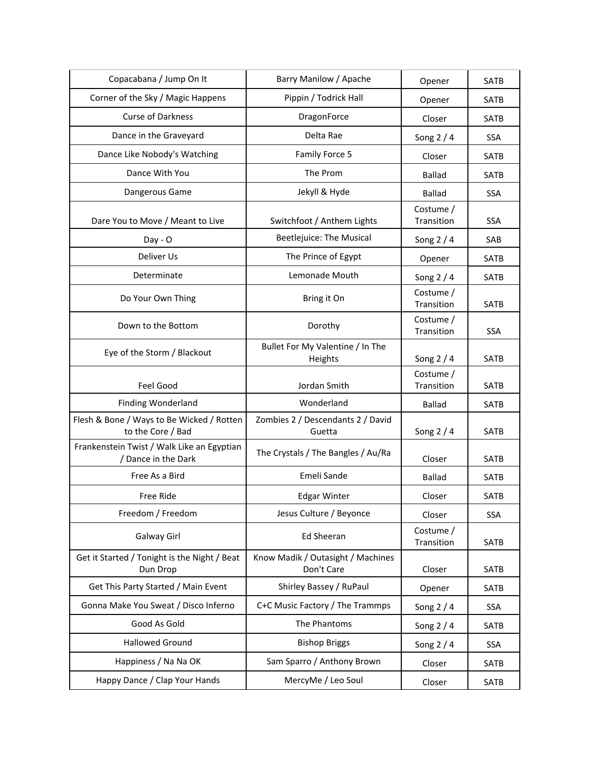| Copacabana / Jump On It                                           | Barry Manilow / Apache                          | Opener                  | SATB        |
|-------------------------------------------------------------------|-------------------------------------------------|-------------------------|-------------|
| Corner of the Sky / Magic Happens                                 | Pippin / Todrick Hall                           | Opener                  | <b>SATB</b> |
| <b>Curse of Darkness</b>                                          | DragonForce                                     | Closer                  | SATB        |
| Dance in the Graveyard                                            | Delta Rae                                       | Song 2 / 4              | <b>SSA</b>  |
| Dance Like Nobody's Watching                                      | Family Force 5                                  | Closer                  | <b>SATB</b> |
| Dance With You                                                    | The Prom                                        | <b>Ballad</b>           | <b>SATB</b> |
| Dangerous Game                                                    | Jekyll & Hyde                                   | <b>Ballad</b>           | <b>SSA</b>  |
| Dare You to Move / Meant to Live                                  | Switchfoot / Anthem Lights                      | Costume /<br>Transition | <b>SSA</b>  |
| $Day - O$                                                         | Beetlejuice: The Musical                        | Song $2/4$              | SAB         |
| Deliver Us                                                        | The Prince of Egypt                             | Opener                  | <b>SATB</b> |
| Determinate                                                       | Lemonade Mouth                                  | Song $2/4$              | SATB        |
| Do Your Own Thing                                                 | Bring it On                                     | Costume /<br>Transition | <b>SATB</b> |
| Down to the Bottom                                                | Dorothy                                         | Costume /<br>Transition | <b>SSA</b>  |
| Eye of the Storm / Blackout                                       | Bullet For My Valentine / In The<br>Heights     | Song $2/4$              | SATB        |
| Feel Good                                                         | Jordan Smith                                    | Costume /<br>Transition | SATB        |
| Finding Wonderland                                                | Wonderland                                      | <b>Ballad</b>           | SATB        |
| Flesh & Bone / Ways to Be Wicked / Rotten<br>to the Core / Bad    | Zombies 2 / Descendants 2 / David<br>Guetta     | Song $2/4$              | <b>SATB</b> |
| Frankenstein Twist / Walk Like an Egyptian<br>/ Dance in the Dark | The Crystals / The Bangles / Au/Ra              | Closer                  | <b>SATB</b> |
| Free As a Bird                                                    | Emeli Sande                                     | <b>Ballad</b>           | SATB        |
| Free Ride                                                         | <b>Edgar Winter</b>                             | Closer                  | <b>SATB</b> |
| Freedom / Freedom                                                 | Jesus Culture / Beyonce                         | Closer                  | <b>SSA</b>  |
| Galway Girl                                                       | <b>Ed Sheeran</b>                               | Costume /<br>Transition | SATB        |
| Get it Started / Tonight is the Night / Beat<br>Dun Drop          | Know Madik / Outasight / Machines<br>Don't Care | Closer                  | SATB        |
| Get This Party Started / Main Event                               | Shirley Bassey / RuPaul                         | Opener                  | SATB        |
| Gonna Make You Sweat / Disco Inferno                              | C+C Music Factory / The Trammps                 | Song 2 / 4              | SSA         |
| Good As Gold                                                      | The Phantoms                                    | Song $2/4$              | <b>SATB</b> |
| <b>Hallowed Ground</b>                                            | <b>Bishop Briggs</b>                            | Song $2/4$              | SSA         |
| Happiness / Na Na OK                                              | Sam Sparro / Anthony Brown                      | Closer                  | SATB        |
| Happy Dance / Clap Your Hands                                     | MercyMe / Leo Soul                              | Closer                  | SATB        |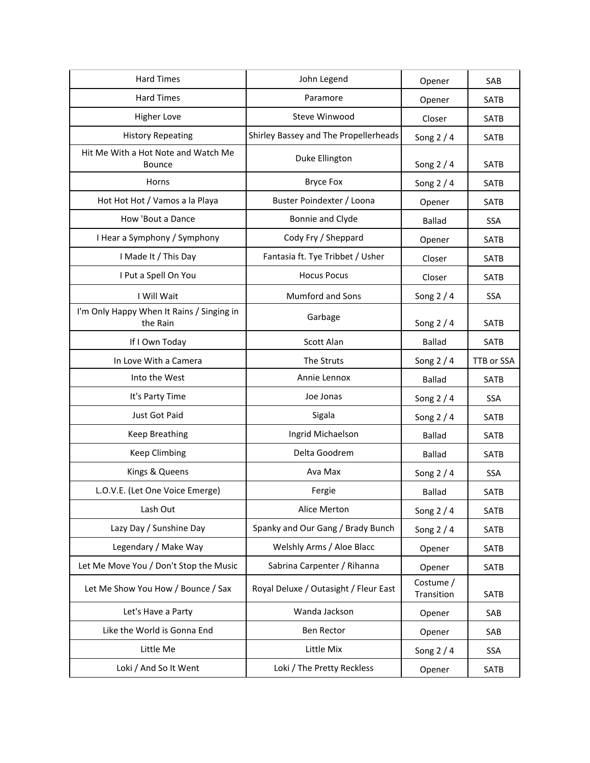| <b>Hard Times</b>                                     | John Legend                           | Opener                  | SAB         |
|-------------------------------------------------------|---------------------------------------|-------------------------|-------------|
| <b>Hard Times</b>                                     | Paramore                              | Opener                  | SATB        |
| <b>Higher Love</b>                                    | Steve Winwood                         | Closer                  | <b>SATB</b> |
| <b>History Repeating</b>                              | Shirley Bassey and The Propellerheads | Song 2 / 4              | SATB        |
| Hit Me With a Hot Note and Watch Me<br><b>Bounce</b>  | Duke Ellington                        | Song 2 / 4              | SATB        |
| Horns                                                 | <b>Bryce Fox</b>                      | Song 2 / 4              | SATB        |
| Hot Hot Hot / Vamos a la Playa                        | Buster Poindexter / Loona             | Opener                  | SATB        |
| How 'Bout a Dance                                     | Bonnie and Clyde                      | <b>Ballad</b>           | SSA         |
| I Hear a Symphony / Symphony                          | Cody Fry / Sheppard                   | Opener                  | SATB        |
| I Made It / This Day                                  | Fantasia ft. Tye Tribbet / Usher      | Closer                  | SATB        |
| I Put a Spell On You                                  | <b>Hocus Pocus</b>                    | Closer                  | SATB        |
| I Will Wait                                           | Mumford and Sons                      | Song 2 / 4              | <b>SSA</b>  |
| I'm Only Happy When It Rains / Singing in<br>the Rain | Garbage                               | Song $2/4$              | <b>SATB</b> |
| If I Own Today                                        | Scott Alan                            | <b>Ballad</b>           | SATB        |
| In Love With a Camera                                 | The Struts                            | Song $2/4$              | TTB or SSA  |
| Into the West                                         | Annie Lennox                          | <b>Ballad</b>           | SATB        |
| It's Party Time                                       | Joe Jonas                             | Song $2/4$              | <b>SSA</b>  |
| Just Got Paid                                         | Sigala                                | Song $2/4$              | SATB        |
| <b>Keep Breathing</b>                                 | Ingrid Michaelson                     | <b>Ballad</b>           | SATB        |
| <b>Keep Climbing</b>                                  | Delta Goodrem                         | <b>Ballad</b>           | SATB        |
| Kings & Queens                                        | Ava Max                               | Song $2/4$              | SSA         |
| L.O.V.E. (Let One Voice Emerge)                       | Fergie                                | <b>Ballad</b>           | <b>SATB</b> |
| Lash Out                                              | Alice Merton                          | Song $2/4$              | SATB        |
| Lazy Day / Sunshine Day                               | Spanky and Our Gang / Brady Bunch     | Song $2/4$              | SATB        |
| Legendary / Make Way                                  | Welshly Arms / Aloe Blacc             | Opener                  | SATB        |
| Let Me Move You / Don't Stop the Music                | Sabrina Carpenter / Rihanna           | Opener                  | SATB        |
| Let Me Show You How / Bounce / Sax                    | Royal Deluxe / Outasight / Fleur East | Costume /<br>Transition | SATB        |
| Let's Have a Party                                    | Wanda Jackson                         | Opener                  | SAB         |
| Like the World is Gonna End                           | Ben Rector                            | Opener                  | SAB         |
| Little Me                                             | Little Mix                            | Song $2/4$              | <b>SSA</b>  |
| Loki / And So It Went                                 | Loki / The Pretty Reckless            | Opener                  | SATB        |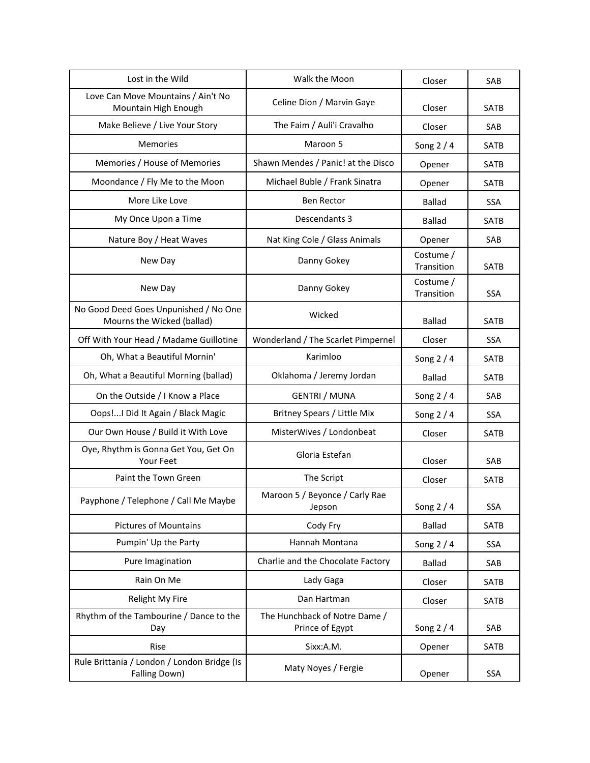| Lost in the Wild                                                    | Walk the Moon                                    | Closer                  | SAB         |
|---------------------------------------------------------------------|--------------------------------------------------|-------------------------|-------------|
| Love Can Move Mountains / Ain't No<br>Mountain High Enough          | Celine Dion / Marvin Gaye                        | Closer                  | <b>SATB</b> |
| Make Believe / Live Your Story                                      | The Faim / Auli'i Cravalho                       | Closer                  | SAB         |
| Memories                                                            | Maroon 5                                         | Song $2/4$              | <b>SATB</b> |
| Memories / House of Memories                                        | Shawn Mendes / Panic! at the Disco               | Opener                  | <b>SATB</b> |
| Moondance / Fly Me to the Moon                                      | Michael Buble / Frank Sinatra                    | Opener                  | SATB        |
| More Like Love                                                      | <b>Ben Rector</b>                                | <b>Ballad</b>           | <b>SSA</b>  |
| My Once Upon a Time                                                 | Descendants 3                                    | <b>Ballad</b>           | <b>SATB</b> |
| Nature Boy / Heat Waves                                             | Nat King Cole / Glass Animals                    | Opener                  | SAB         |
| New Day                                                             | Danny Gokey                                      | Costume /<br>Transition | SATB        |
| New Day                                                             | Danny Gokey                                      | Costume /<br>Transition | SSA         |
| No Good Deed Goes Unpunished / No One<br>Mourns the Wicked (ballad) | Wicked                                           | <b>Ballad</b>           | <b>SATB</b> |
| Off With Your Head / Madame Guillotine                              | Wonderland / The Scarlet Pimpernel               | Closer                  | <b>SSA</b>  |
| Oh, What a Beautiful Mornin'                                        | Karimloo                                         | Song $2/4$              | <b>SATB</b> |
| Oh, What a Beautiful Morning (ballad)                               | Oklahoma / Jeremy Jordan                         | <b>Ballad</b>           | <b>SATB</b> |
| On the Outside / I Know a Place                                     | <b>GENTRI / MUNA</b>                             | Song $2/4$              | SAB         |
| Oops! I Did It Again / Black Magic                                  | Britney Spears / Little Mix                      | Song $2/4$              | SSA         |
| Our Own House / Build it With Love                                  | MisterWives / Londonbeat                         | Closer                  | <b>SATB</b> |
| Oye, Rhythm is Gonna Get You, Get On<br>Your Feet                   | Gloria Estefan                                   | Closer                  | SAB         |
| Paint the Town Green                                                | The Script                                       | Closer                  | <b>SATB</b> |
| Payphone / Telephone / Call Me Maybe                                | Maroon 5 / Beyonce / Carly Rae<br>Jepson         | Song $2/4$              | <b>SSA</b>  |
| <b>Pictures of Mountains</b>                                        | Cody Fry                                         | Ballad                  | SATB        |
| Pumpin' Up the Party                                                | Hannah Montana                                   | Song $2/4$              | SSA         |
| Pure Imagination                                                    | Charlie and the Chocolate Factory                | <b>Ballad</b>           | SAB         |
| Rain On Me                                                          | Lady Gaga                                        | Closer                  | SATB        |
| Relight My Fire                                                     | Dan Hartman                                      | Closer                  | SATB        |
| Rhythm of the Tambourine / Dance to the<br>Day                      | The Hunchback of Notre Dame /<br>Prince of Egypt | Song $2/4$              | SAB         |
| Rise                                                                | Sixx:A.M.                                        | Opener                  | SATB        |
| Rule Brittania / London / London Bridge (Is<br>Falling Down)        | Maty Noyes / Fergie                              | Opener                  | <b>SSA</b>  |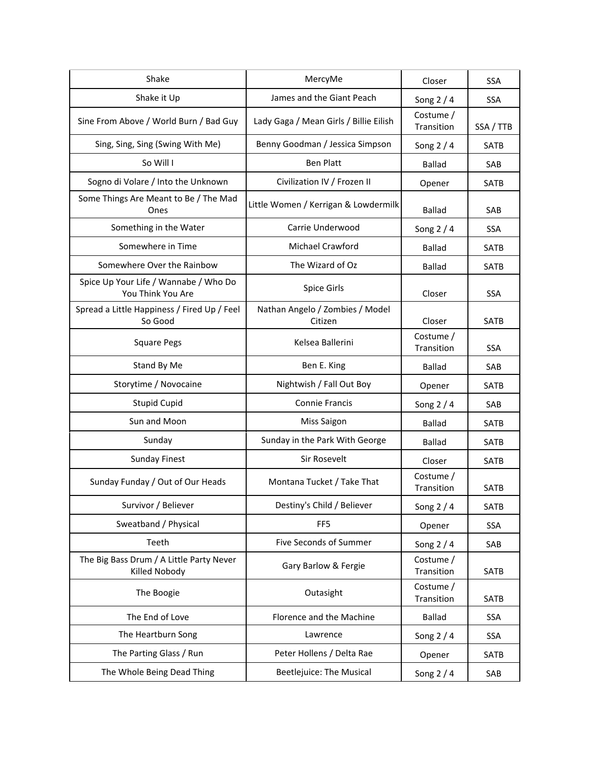| Shake                                                      | MercyMe                                    | Closer                  | <b>SSA</b>  |
|------------------------------------------------------------|--------------------------------------------|-------------------------|-------------|
| Shake it Up                                                | James and the Giant Peach                  | Song $2/4$              | <b>SSA</b>  |
| Sine From Above / World Burn / Bad Guy                     | Lady Gaga / Mean Girls / Billie Eilish     | Costume /<br>Transition | SSA / TTB   |
| Sing, Sing, Sing (Swing With Me)                           | Benny Goodman / Jessica Simpson            | Song $2/4$              | <b>SATB</b> |
| So Will I                                                  | <b>Ben Platt</b>                           | <b>Ballad</b>           | SAB         |
| Sogno di Volare / Into the Unknown                         | Civilization IV / Frozen II                | Opener                  | SATB        |
| Some Things Are Meant to Be / The Mad<br>Ones              | Little Women / Kerrigan & Lowdermilk       | <b>Ballad</b>           | SAB         |
| Something in the Water                                     | Carrie Underwood                           | Song $2/4$              | <b>SSA</b>  |
| Somewhere in Time                                          | Michael Crawford                           | <b>Ballad</b>           | <b>SATB</b> |
| Somewhere Over the Rainbow                                 | The Wizard of Oz                           | <b>Ballad</b>           | <b>SATB</b> |
| Spice Up Your Life / Wannabe / Who Do<br>You Think You Are | Spice Girls                                | Closer                  | <b>SSA</b>  |
| Spread a Little Happiness / Fired Up / Feel<br>So Good     | Nathan Angelo / Zombies / Model<br>Citizen | Closer                  | <b>SATB</b> |
| <b>Square Pegs</b>                                         | Kelsea Ballerini                           | Costume /<br>Transition | <b>SSA</b>  |
| Stand By Me                                                | Ben E. King                                | <b>Ballad</b>           | SAB         |
| Storytime / Novocaine                                      | Nightwish / Fall Out Boy                   | Opener                  | <b>SATB</b> |
| <b>Stupid Cupid</b>                                        | <b>Connie Francis</b>                      | Song $2/4$              | SAB         |
| Sun and Moon                                               | <b>Miss Saigon</b>                         | Ballad                  | <b>SATB</b> |
| Sunday                                                     | Sunday in the Park With George             | <b>Ballad</b>           | <b>SATB</b> |
| <b>Sunday Finest</b>                                       | Sir Rosevelt                               | Closer                  | SATB        |
| Sunday Funday / Out of Our Heads                           | Montana Tucket / Take That                 | Costume /<br>Transition | <b>SATB</b> |
| Survivor / Believer                                        | Destiny's Child / Believer                 | Song $2/4$              | <b>SATB</b> |
| Sweatband / Physical                                       | FF <sub>5</sub>                            | Opener                  | SSA         |
| Teeth                                                      | Five Seconds of Summer                     | Song $2/4$              | SAB         |
| The Big Bass Drum / A Little Party Never<br>Killed Nobody  | Gary Barlow & Fergie                       | Costume /<br>Transition | SATB        |
| The Boogie                                                 | Outasight                                  | Costume /<br>Transition | SATB        |
| The End of Love                                            | Florence and the Machine                   | Ballad                  | SSA         |
| The Heartburn Song                                         | Lawrence                                   | Song $2/4$              | <b>SSA</b>  |
| The Parting Glass / Run                                    | Peter Hollens / Delta Rae                  | Opener                  | <b>SATB</b> |
| The Whole Being Dead Thing                                 | Beetlejuice: The Musical                   | Song 2 / 4              | SAB         |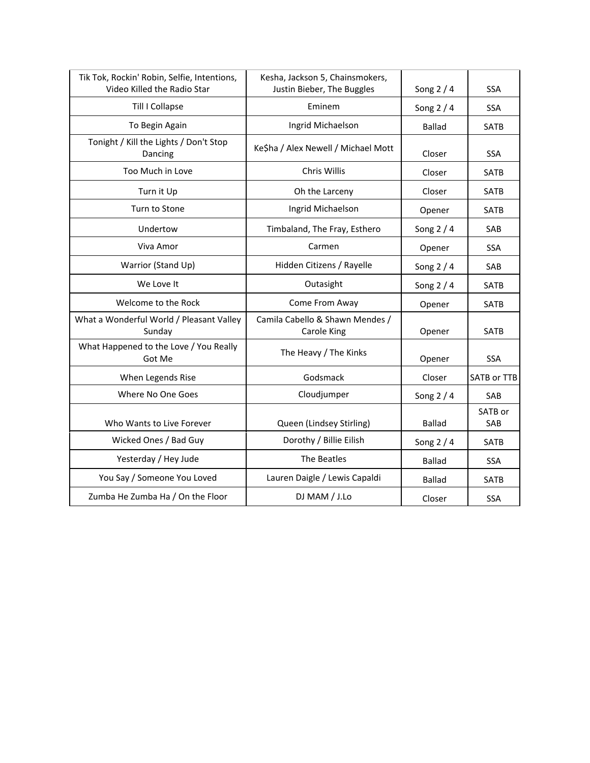| Tik Tok, Rockin' Robin, Selfie, Intentions,<br>Video Killed the Radio Star | Kesha, Jackson 5, Chainsmokers,<br>Justin Bieber, The Buggles | Song $2/4$    | <b>SSA</b>     |
|----------------------------------------------------------------------------|---------------------------------------------------------------|---------------|----------------|
| Till I Collapse                                                            | Eminem                                                        | Song $2/4$    | <b>SSA</b>     |
| To Begin Again                                                             | Ingrid Michaelson                                             | <b>Ballad</b> | SATB           |
| Tonight / Kill the Lights / Don't Stop<br>Dancing                          | Ke\$ha / Alex Newell / Michael Mott                           | Closer        | <b>SSA</b>     |
| Too Much in Love                                                           | Chris Willis                                                  | Closer        | SATB           |
| Turn it Up                                                                 | Oh the Larceny                                                | Closer        | <b>SATB</b>    |
| Turn to Stone                                                              | Ingrid Michaelson                                             | Opener        | <b>SATB</b>    |
| Undertow                                                                   | Timbaland, The Fray, Esthero                                  | Song $2/4$    | SAB            |
| Viva Amor                                                                  | Carmen                                                        | Opener        | <b>SSA</b>     |
| Warrior (Stand Up)                                                         | Hidden Citizens / Rayelle                                     | Song $2/4$    | SAB            |
| We Love It                                                                 | Outasight                                                     | Song $2/4$    | SATB           |
| Welcome to the Rock                                                        | Come From Away                                                | Opener        | SATB           |
| What a Wonderful World / Pleasant Valley<br>Sunday                         | Camila Cabello & Shawn Mendes /<br><b>Carole King</b>         | Opener        | <b>SATB</b>    |
| What Happened to the Love / You Really<br>Got Me                           | The Heavy / The Kinks                                         | Opener        | <b>SSA</b>     |
| When Legends Rise                                                          | Godsmack                                                      | Closer        | SATB or TTB    |
| Where No One Goes                                                          | Cloudjumper                                                   | Song $2/4$    | SAB            |
| Who Wants to Live Forever                                                  | Queen (Lindsey Stirling)                                      | <b>Ballad</b> | SATB or<br>SAB |
| Wicked Ones / Bad Guy                                                      | Dorothy / Billie Eilish                                       | Song $2/4$    | <b>SATB</b>    |
| Yesterday / Hey Jude                                                       | The Beatles                                                   | <b>Ballad</b> | <b>SSA</b>     |
| You Say / Someone You Loved                                                | Lauren Daigle / Lewis Capaldi                                 | <b>Ballad</b> | <b>SATB</b>    |
| Zumba He Zumba Ha / On the Floor                                           | DJ MAM / J.Lo                                                 | Closer        | <b>SSA</b>     |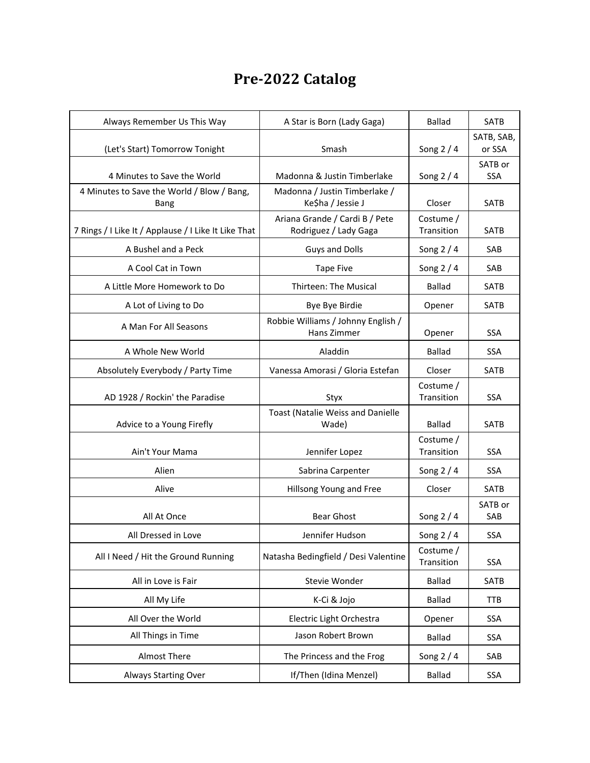# **Pre-2022 Catalog**

| Always Remember Us This Way                          | A Star is Born (Lady Gaga)                              | <b>Ballad</b>           | SATB                  |
|------------------------------------------------------|---------------------------------------------------------|-------------------------|-----------------------|
|                                                      |                                                         |                         | SATB, SAB,            |
| (Let's Start) Tomorrow Tonight                       | Smash                                                   | Song $2/4$              | or SSA                |
| 4 Minutes to Save the World                          | Madonna & Justin Timberlake                             | Song $2/4$              | SATB or<br><b>SSA</b> |
| 4 Minutes to Save the World / Blow / Bang,<br>Bang   | Madonna / Justin Timberlake /<br>Ke\$ha / Jessie J      | Closer                  | SATB                  |
| 7 Rings / I Like It / Applause / I Like It Like That | Ariana Grande / Cardi B / Pete<br>Rodriguez / Lady Gaga | Costume /<br>Transition | <b>SATB</b>           |
| A Bushel and a Peck                                  | <b>Guys and Dolls</b>                                   | Song $2/4$              | SAB                   |
| A Cool Cat in Town                                   | <b>Tape Five</b>                                        | Song $2/4$              | SAB                   |
| A Little More Homework to Do                         | Thirteen: The Musical                                   | <b>Ballad</b>           | SATB                  |
| A Lot of Living to Do                                | Bye Bye Birdie                                          | Opener                  | SATB                  |
| A Man For All Seasons                                | Robbie Williams / Johnny English /<br>Hans Zimmer       | Opener                  | <b>SSA</b>            |
| A Whole New World                                    | Aladdin                                                 | <b>Ballad</b>           | SSA                   |
| Absolutely Everybody / Party Time                    | Vanessa Amorasi / Gloria Estefan                        | Closer                  | <b>SATB</b>           |
| AD 1928 / Rockin' the Paradise                       | Styx                                                    | Costume /<br>Transition | <b>SSA</b>            |
| Advice to a Young Firefly                            | Toast (Natalie Weiss and Danielle<br>Wade)              | <b>Ballad</b>           | <b>SATB</b>           |
| Ain't Your Mama                                      | Jennifer Lopez                                          | Costume /<br>Transition | <b>SSA</b>            |
| Alien                                                | Sabrina Carpenter                                       | Song $2/4$              | <b>SSA</b>            |
| Alive                                                | Hillsong Young and Free                                 | Closer                  | SATB                  |
| All At Once                                          | <b>Bear Ghost</b>                                       | Song $2/4$              | SATB or<br>SAB        |
| All Dressed in Love                                  | Jennifer Hudson                                         | Song $2/4$              | <b>SSA</b>            |
| All I Need / Hit the Ground Running                  | Natasha Bedingfield / Desi Valentine                    | Costume /<br>Transition | <b>SSA</b>            |
| All in Love is Fair                                  | Stevie Wonder                                           | <b>Ballad</b>           | SATB                  |
| All My Life                                          | K-Ci & Jojo                                             | <b>Ballad</b>           | <b>TTB</b>            |
| All Over the World                                   | Electric Light Orchestra                                | Opener                  | <b>SSA</b>            |
| All Things in Time                                   | Jason Robert Brown                                      | <b>Ballad</b>           | <b>SSA</b>            |
| Almost There                                         | The Princess and the Frog                               | Song 2 / 4              | SAB                   |
| Always Starting Over                                 | If/Then (Idina Menzel)                                  | <b>Ballad</b>           | SSA                   |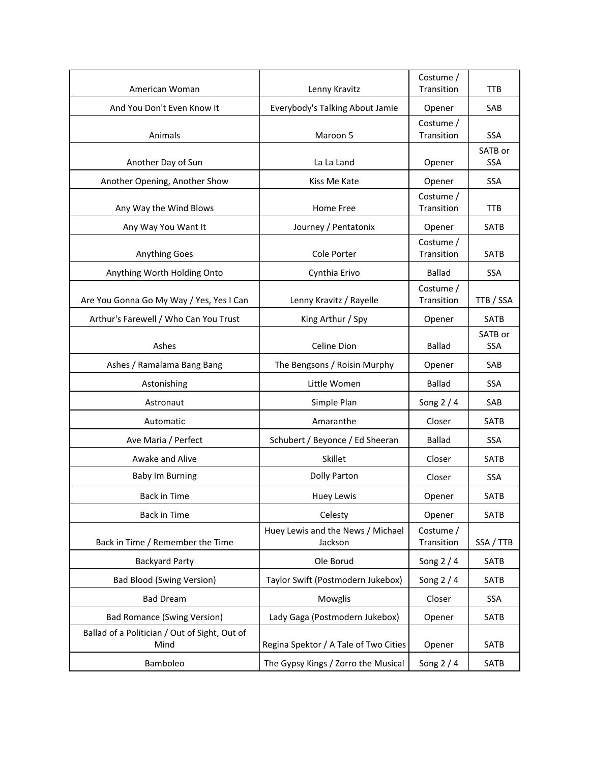| American Woman                                        | Lenny Kravitz                                | Costume /<br>Transition | <b>TTB</b>            |
|-------------------------------------------------------|----------------------------------------------|-------------------------|-----------------------|
| And You Don't Even Know It                            | Everybody's Talking About Jamie              | Opener                  | SAB                   |
| Animals                                               | Maroon 5                                     | Costume /<br>Transition | <b>SSA</b>            |
| Another Day of Sun                                    | La La Land                                   | Opener                  | SATB or<br><b>SSA</b> |
| Another Opening, Another Show                         | Kiss Me Kate                                 | Opener                  | <b>SSA</b>            |
| Any Way the Wind Blows                                | Home Free                                    | Costume /<br>Transition | <b>TTB</b>            |
| Any Way You Want It                                   | Journey / Pentatonix                         | Opener                  | <b>SATB</b>           |
| <b>Anything Goes</b>                                  | Cole Porter                                  | Costume /<br>Transition | <b>SATB</b>           |
| Anything Worth Holding Onto                           | Cynthia Erivo                                | <b>Ballad</b>           | <b>SSA</b>            |
| Are You Gonna Go My Way / Yes, Yes I Can              | Lenny Kravitz / Rayelle                      | Costume /<br>Transition | TTB / SSA             |
| Arthur's Farewell / Who Can You Trust                 | King Arthur / Spy                            | Opener                  | <b>SATB</b>           |
| Ashes                                                 | Celine Dion                                  | <b>Ballad</b>           | SATB or<br><b>SSA</b> |
| Ashes / Ramalama Bang Bang                            | The Bengsons / Roisin Murphy                 | Opener                  | SAB                   |
| Astonishing                                           | Little Women                                 | <b>Ballad</b>           | <b>SSA</b>            |
| Astronaut                                             | Simple Plan                                  | Song $2/4$              | SAB                   |
| Automatic                                             | Amaranthe                                    | Closer                  | <b>SATB</b>           |
| Ave Maria / Perfect                                   | Schubert / Beyonce / Ed Sheeran              | <b>Ballad</b>           | <b>SSA</b>            |
| Awake and Alive                                       | Skillet                                      | Closer                  | <b>SATB</b>           |
| Baby Im Burning                                       | Dolly Parton                                 | Closer                  | <b>SSA</b>            |
| <b>Back in Time</b>                                   | <b>Huey Lewis</b>                            | Opener                  | <b>SATB</b>           |
| <b>Back in Time</b>                                   | Celesty                                      | Opener                  | SATB                  |
| Back in Time / Remember the Time                      | Huey Lewis and the News / Michael<br>Jackson | Costume /<br>Transition | SSA / TTB             |
| <b>Backyard Party</b>                                 | Ole Borud                                    | Song $2/4$              | SATB                  |
| <b>Bad Blood (Swing Version)</b>                      | Taylor Swift (Postmodern Jukebox)            | Song $2/4$              | SATB                  |
| <b>Bad Dream</b>                                      | Mowglis                                      | Closer                  | SSA                   |
| <b>Bad Romance (Swing Version)</b>                    | Lady Gaga (Postmodern Jukebox)               | Opener                  | SATB                  |
| Ballad of a Politician / Out of Sight, Out of<br>Mind | Regina Spektor / A Tale of Two Cities        | Opener                  | SATB                  |
| Bamboleo                                              | The Gypsy Kings / Zorro the Musical          | Song $2/4$              | SATB                  |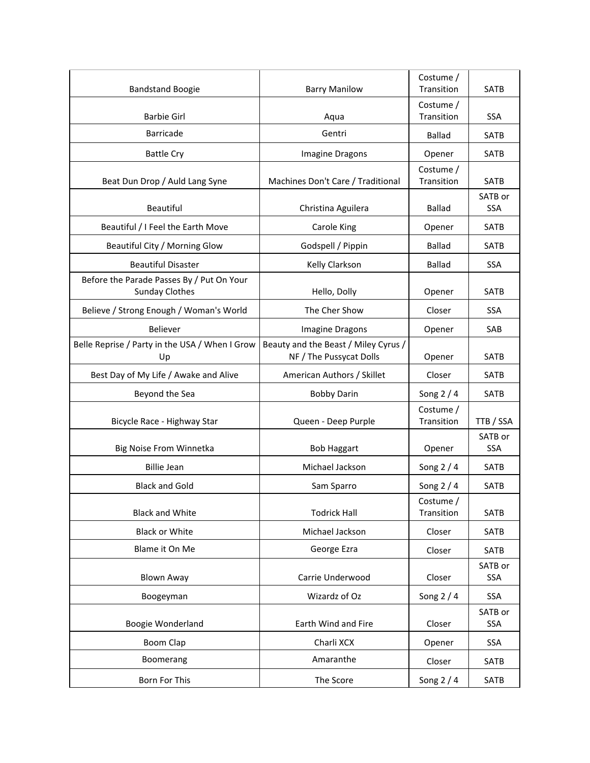| <b>Bandstand Boogie</b>                                            | <b>Barry Manilow</b>                                            | Costume /<br>Transition | <b>SATB</b>           |
|--------------------------------------------------------------------|-----------------------------------------------------------------|-------------------------|-----------------------|
| <b>Barbie Girl</b>                                                 | Aqua                                                            | Costume /<br>Transition | <b>SSA</b>            |
| <b>Barricade</b>                                                   | Gentri                                                          | <b>Ballad</b>           | <b>SATB</b>           |
| <b>Battle Cry</b>                                                  | Imagine Dragons                                                 | Opener                  | <b>SATB</b>           |
| Beat Dun Drop / Auld Lang Syne                                     | Machines Don't Care / Traditional                               | Costume /<br>Transition | <b>SATB</b>           |
| Beautiful                                                          | Christina Aguilera                                              | <b>Ballad</b>           | SATB or<br>SSA        |
| Beautiful / I Feel the Earth Move                                  | <b>Carole King</b>                                              | Opener                  | SATB                  |
| Beautiful City / Morning Glow                                      | Godspell / Pippin                                               | <b>Ballad</b>           | <b>SATB</b>           |
| <b>Beautiful Disaster</b>                                          | Kelly Clarkson                                                  | <b>Ballad</b>           | <b>SSA</b>            |
| Before the Parade Passes By / Put On Your<br><b>Sunday Clothes</b> | Hello, Dolly                                                    | Opener                  | <b>SATB</b>           |
| Believe / Strong Enough / Woman's World                            | The Cher Show                                                   | Closer                  | <b>SSA</b>            |
| <b>Believer</b>                                                    | Imagine Dragons                                                 | Opener                  | SAB                   |
| Belle Reprise / Party in the USA / When I Grow<br>Up               | Beauty and the Beast / Miley Cyrus /<br>NF / The Pussycat Dolls | Opener                  | <b>SATB</b>           |
| Best Day of My Life / Awake and Alive                              | American Authors / Skillet                                      | Closer                  | <b>SATB</b>           |
| Beyond the Sea                                                     | <b>Bobby Darin</b>                                              | Song $2/4$              | <b>SATB</b>           |
| Bicycle Race - Highway Star                                        | Queen - Deep Purple                                             | Costume /<br>Transition | TTB / SSA             |
| Big Noise From Winnetka                                            | <b>Bob Haggart</b>                                              | Opener                  | SATB or<br><b>SSA</b> |
| <b>Billie Jean</b>                                                 | Michael Jackson                                                 | Song $2/4$              | <b>SATB</b>           |
| <b>Black and Gold</b>                                              | Sam Sparro                                                      | Song 2 / 4              | <b>SATB</b>           |
| <b>Black and White</b>                                             | <b>Todrick Hall</b>                                             | Costume /<br>Transition | SATB                  |
| <b>Black or White</b>                                              | Michael Jackson                                                 | Closer                  | SATB                  |
| Blame it On Me                                                     | George Ezra                                                     | Closer                  | SATB                  |
| <b>Blown Away</b>                                                  | Carrie Underwood                                                | Closer                  | SATB or<br>SSA        |
| Boogeyman                                                          | Wizardz of Oz                                                   | Song $2/4$              | SSA                   |
| Boogie Wonderland                                                  | Earth Wind and Fire                                             | Closer                  | SATB or<br>SSA        |
| Boom Clap                                                          | Charli XCX                                                      | Opener                  | SSA                   |
| Boomerang                                                          | Amaranthe                                                       | Closer                  | SATB                  |
| Born For This                                                      | The Score                                                       | Song 2 / 4              | SATB                  |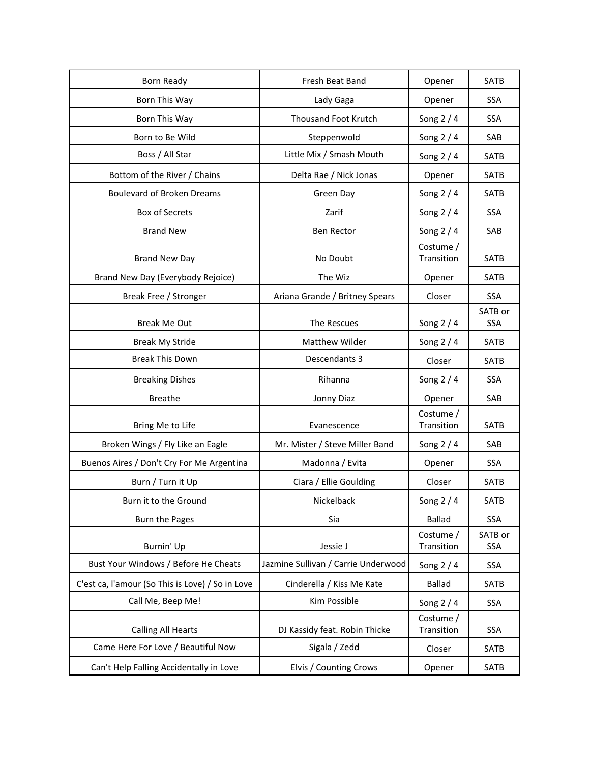| Born Ready                                       | Fresh Beat Band                     | Opener                  | SATB                  |
|--------------------------------------------------|-------------------------------------|-------------------------|-----------------------|
| Born This Way                                    | Lady Gaga                           | Opener                  | <b>SSA</b>            |
| Born This Way                                    | <b>Thousand Foot Krutch</b>         | Song $2/4$              | <b>SSA</b>            |
| Born to Be Wild                                  | Steppenwold                         | Song $2/4$              | SAB                   |
| Boss / All Star                                  | Little Mix / Smash Mouth            | Song $2/4$              | <b>SATB</b>           |
| Bottom of the River / Chains                     | Delta Rae / Nick Jonas              | Opener                  | <b>SATB</b>           |
| <b>Boulevard of Broken Dreams</b>                | Green Day                           | Song 2 / 4              | SATB                  |
| <b>Box of Secrets</b>                            | Zarif                               | Song $2/4$              | <b>SSA</b>            |
| <b>Brand New</b>                                 | <b>Ben Rector</b>                   | Song $2/4$              | SAB                   |
| <b>Brand New Day</b>                             | No Doubt                            | Costume /<br>Transition | SATB                  |
| Brand New Day (Everybody Rejoice)                | The Wiz                             | Opener                  | <b>SATB</b>           |
| Break Free / Stronger                            | Ariana Grande / Britney Spears      | Closer                  | SSA                   |
| <b>Break Me Out</b>                              | The Rescues                         | Song $2/4$              | SATB or<br><b>SSA</b> |
| <b>Break My Stride</b>                           | Matthew Wilder                      | Song $2/4$              | <b>SATB</b>           |
| <b>Break This Down</b>                           | Descendants 3                       | Closer                  | <b>SATB</b>           |
| <b>Breaking Dishes</b>                           | Rihanna                             | Song $2/4$              | SSA                   |
| <b>Breathe</b>                                   | Jonny Diaz                          | Opener                  | SAB                   |
| Bring Me to Life                                 | Evanescence                         | Costume /<br>Transition | SATB                  |
| Broken Wings / Fly Like an Eagle                 | Mr. Mister / Steve Miller Band      | Song $2/4$              | SAB                   |
| Buenos Aires / Don't Cry For Me Argentina        | Madonna / Evita                     | Opener                  | SSA                   |
| Burn / Turn it Up                                | Ciara / Ellie Goulding              | Closer                  | SATB                  |
| Burn it to the Ground                            | Nickelback                          | Song 2 / 4              | SATB                  |
| <b>Burn the Pages</b>                            | Sia                                 | <b>Ballad</b>           | <b>SSA</b>            |
| Burnin' Up                                       | Jessie J                            | Costume /<br>Transition | SATB or<br><b>SSA</b> |
| Bust Your Windows / Before He Cheats             | Jazmine Sullivan / Carrie Underwood | Song $2/4$              | <b>SSA</b>            |
| C'est ca, l'amour (So This is Love) / So in Love | Cinderella / Kiss Me Kate           | <b>Ballad</b>           | SATB                  |
| Call Me, Beep Me!                                | Kim Possible                        | Song $2/4$              | <b>SSA</b>            |
| <b>Calling All Hearts</b>                        | DJ Kassidy feat. Robin Thicke       | Costume /<br>Transition | <b>SSA</b>            |
| Came Here For Love / Beautiful Now               | Sigala / Zedd                       | Closer                  | SATB                  |
| Can't Help Falling Accidentally in Love          | Elvis / Counting Crows              | Opener                  | SATB                  |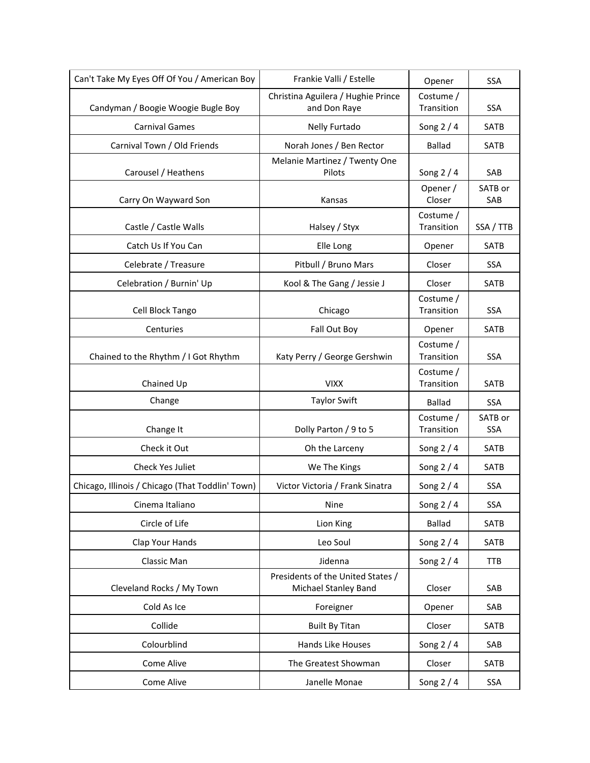| Can't Take My Eyes Off Of You / American Boy     | Frankie Valli / Estelle                                   | Opener                  | SSA                   |
|--------------------------------------------------|-----------------------------------------------------------|-------------------------|-----------------------|
| Candyman / Boogie Woogie Bugle Boy               | Christina Aguilera / Hughie Prince<br>and Don Raye        | Costume /<br>Transition | <b>SSA</b>            |
| <b>Carnival Games</b>                            | Nelly Furtado                                             | Song $2/4$              | SATB                  |
| Carnival Town / Old Friends                      | Norah Jones / Ben Rector                                  | <b>Ballad</b>           | <b>SATB</b>           |
| Carousel / Heathens                              | Melanie Martinez / Twenty One<br>Pilots                   | Song $2/4$              | SAB                   |
| Carry On Wayward Son                             | Kansas                                                    | Opener /<br>Closer      | SATB or<br>SAB        |
| Castle / Castle Walls                            | Halsey / Styx                                             | Costume /<br>Transition | SSA / TTB             |
| Catch Us If You Can                              | Elle Long                                                 | Opener                  | <b>SATB</b>           |
| Celebrate / Treasure                             | Pitbull / Bruno Mars                                      | Closer                  | SSA                   |
| Celebration / Burnin' Up                         | Kool & The Gang / Jessie J                                | Closer                  | <b>SATB</b>           |
| Cell Block Tango                                 | Chicago                                                   | Costume /<br>Transition | SSA                   |
| Centuries                                        | Fall Out Boy                                              | Opener                  | <b>SATB</b>           |
| Chained to the Rhythm / I Got Rhythm             | Katy Perry / George Gershwin                              | Costume /<br>Transition | <b>SSA</b>            |
| Chained Up                                       | <b>VIXX</b>                                               | Costume /<br>Transition | <b>SATB</b>           |
| Change                                           | <b>Taylor Swift</b>                                       | <b>Ballad</b>           | SSA                   |
| Change It                                        | Dolly Parton / 9 to 5                                     | Costume /<br>Transition | SATB or<br><b>SSA</b> |
| Check it Out                                     | Oh the Larceny                                            | Song $2/4$              | SATB                  |
| Check Yes Juliet                                 | We The Kings                                              | Song $2/4$              | SATB                  |
| Chicago, Illinois / Chicago (That Toddlin' Town) | Victor Victoria / Frank Sinatra                           | Song 2 / 4              | <b>SSA</b>            |
| Cinema Italiano                                  | Nine                                                      | Song $2/4$              | SSA                   |
| Circle of Life                                   | Lion King                                                 | <b>Ballad</b>           | SATB                  |
| Clap Your Hands                                  | Leo Soul                                                  | Song $2/4$              | <b>SATB</b>           |
| Classic Man                                      | Jidenna                                                   | Song $2/4$              | <b>TTB</b>            |
| Cleveland Rocks / My Town                        | Presidents of the United States /<br>Michael Stanley Band | Closer                  | SAB                   |
| Cold As Ice                                      | Foreigner                                                 | Opener                  | SAB                   |
| Collide                                          | <b>Built By Titan</b>                                     | Closer                  | <b>SATB</b>           |
| Colourblind                                      | Hands Like Houses                                         | Song $2/4$              | SAB                   |
| Come Alive                                       | The Greatest Showman                                      | Closer                  | SATB                  |
| Come Alive                                       | Janelle Monae                                             | Song 2 / 4              | SSA                   |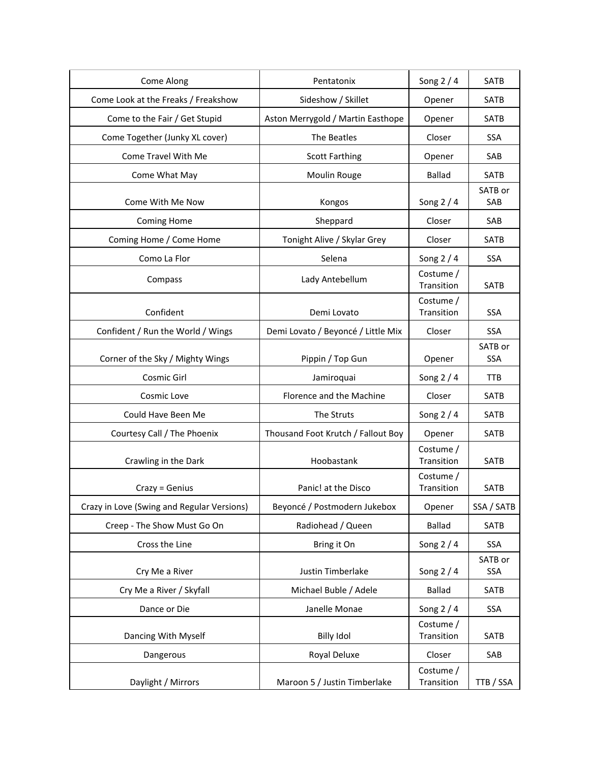| Come Along                                 | Pentatonix                         | Song $2/4$              | SATB           |
|--------------------------------------------|------------------------------------|-------------------------|----------------|
| Come Look at the Freaks / Freakshow        | Sideshow / Skillet                 | Opener                  | <b>SATB</b>    |
| Come to the Fair / Get Stupid              | Aston Merrygold / Martin Easthope  | Opener                  | <b>SATB</b>    |
| Come Together (Junky XL cover)             | The Beatles                        | Closer                  | SSA            |
| Come Travel With Me                        | <b>Scott Farthing</b>              | Opener                  | SAB            |
| Come What May                              | Moulin Rouge                       | <b>Ballad</b>           | <b>SATB</b>    |
|                                            |                                    |                         | SATB or        |
| Come With Me Now                           | Kongos                             | Song $2/4$              | SAB            |
| <b>Coming Home</b>                         | Sheppard                           | Closer                  | SAB            |
| Coming Home / Come Home                    | Tonight Alive / Skylar Grey        | Closer                  | SATB           |
| Como La Flor                               | Selena                             | Song $2/4$              | <b>SSA</b>     |
| Compass                                    | Lady Antebellum                    | Costume /<br>Transition | <b>SATB</b>    |
| Confident                                  | Demi Lovato                        | Costume /<br>Transition | <b>SSA</b>     |
| Confident / Run the World / Wings          | Demi Lovato / Beyoncé / Little Mix | Closer                  | <b>SSA</b>     |
|                                            |                                    |                         | SATB or        |
| Corner of the Sky / Mighty Wings           | Pippin / Top Gun                   | Opener                  | <b>SSA</b>     |
| Cosmic Girl                                | Jamiroquai                         | Song $2/4$              | <b>TTB</b>     |
| Cosmic Love                                | Florence and the Machine           | Closer                  | <b>SATB</b>    |
| Could Have Been Me                         | The Struts                         | Song $2/4$              | SATB           |
| Courtesy Call / The Phoenix                | Thousand Foot Krutch / Fallout Boy | Opener                  | <b>SATB</b>    |
| Crawling in the Dark                       | Hoobastank                         | Costume /<br>Transition | <b>SATB</b>    |
|                                            |                                    | Costume /               |                |
| Crazy = Genius                             | Panic! at the Disco                | Transition              | <b>SATB</b>    |
| Crazy in Love (Swing and Regular Versions) | Beyoncé / Postmodern Jukebox       | Opener                  | SSA / SATB     |
| Creep - The Show Must Go On                | Radiohead / Queen                  | <b>Ballad</b>           | SATB           |
| Cross the Line                             | Bring it On                        | Song $2/4$              | SSA            |
| Cry Me a River                             | Justin Timberlake                  | Song $2/4$              | SATB or<br>SSA |
| Cry Me a River / Skyfall                   | Michael Buble / Adele              | <b>Ballad</b>           | <b>SATB</b>    |
| Dance or Die                               | Janelle Monae                      | Song $2/4$              | SSA            |
| Dancing With Myself                        | <b>Billy Idol</b>                  | Costume /<br>Transition | SATB           |
| Dangerous                                  | Royal Deluxe                       | Closer                  | SAB            |
| Daylight / Mirrors                         | Maroon 5 / Justin Timberlake       | Costume /<br>Transition | TTB / SSA      |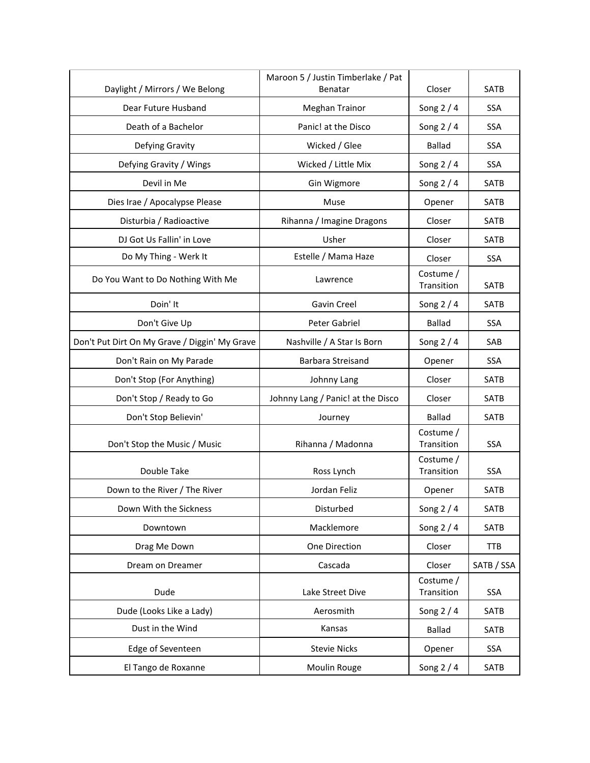| Daylight / Mirrors / We Belong                | Maroon 5 / Justin Timberlake / Pat<br>Benatar | Closer                  | SATB        |
|-----------------------------------------------|-----------------------------------------------|-------------------------|-------------|
| Dear Future Husband                           | <b>Meghan Trainor</b>                         | Song $2/4$              | <b>SSA</b>  |
| Death of a Bachelor                           | Panic! at the Disco                           | Song $2/4$              | <b>SSA</b>  |
| Defying Gravity                               | Wicked / Glee                                 | <b>Ballad</b>           | SSA         |
| Defying Gravity / Wings                       | Wicked / Little Mix                           | Song $2/4$              | <b>SSA</b>  |
| Devil in Me                                   | Gin Wigmore                                   | Song $2/4$              | SATB        |
| Dies Irae / Apocalypse Please                 | Muse                                          | Opener                  | <b>SATB</b> |
| Disturbia / Radioactive                       | Rihanna / Imagine Dragons                     | Closer                  | <b>SATB</b> |
| DJ Got Us Fallin' in Love                     | Usher                                         | Closer                  | SATB        |
| Do My Thing - Werk It                         | Estelle / Mama Haze                           | Closer                  | <b>SSA</b>  |
| Do You Want to Do Nothing With Me             | Lawrence                                      | Costume /<br>Transition | <b>SATB</b> |
| Doin' It                                      | Gavin Creel                                   | Song $2/4$              | SATB        |
| Don't Give Up                                 | Peter Gabriel                                 | <b>Ballad</b>           | <b>SSA</b>  |
| Don't Put Dirt On My Grave / Diggin' My Grave | Nashville / A Star Is Born                    | Song $2/4$              | SAB         |
| Don't Rain on My Parade                       | Barbara Streisand                             | Opener                  | <b>SSA</b>  |
| Don't Stop (For Anything)                     | Johnny Lang                                   | Closer                  | SATB        |
| Don't Stop / Ready to Go                      | Johnny Lang / Panic! at the Disco             | Closer                  | SATB        |
| Don't Stop Believin'                          | Journey                                       | <b>Ballad</b>           | <b>SATB</b> |
| Don't Stop the Music / Music                  | Rihanna / Madonna                             | Costume /<br>Transition | <b>SSA</b>  |
| Double Take                                   | Ross Lynch                                    | Costume /<br>Transition | SSA         |
| Down to the River / The River                 | Jordan Feliz                                  | Opener                  | <b>SATB</b> |
| Down With the Sickness                        | Disturbed                                     | Song $2/4$              | SATB        |
| Downtown                                      | Macklemore                                    | Song $2/4$              | SATB        |
| Drag Me Down                                  | One Direction                                 | Closer                  | <b>TTB</b>  |
| Dream on Dreamer                              | Cascada                                       | Closer                  | SATB / SSA  |
| Dude                                          | Lake Street Dive                              | Costume /<br>Transition | SSA         |
| Dude (Looks Like a Lady)                      | Aerosmith                                     | Song $2/4$              | SATB        |
| Dust in the Wind                              | Kansas                                        | <b>Ballad</b>           | SATB        |
| Edge of Seventeen                             | <b>Stevie Nicks</b>                           | Opener                  | SSA         |
| El Tango de Roxanne                           | Moulin Rouge                                  | Song 2 / 4              | SATB        |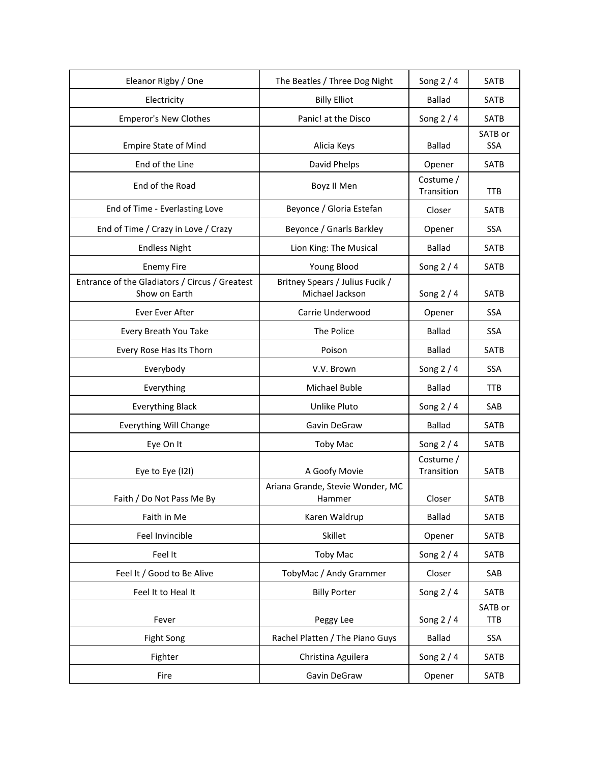| Eleanor Rigby / One                                             | The Beatles / Three Dog Night                      | Song $2/4$              | SATB                  |
|-----------------------------------------------------------------|----------------------------------------------------|-------------------------|-----------------------|
| Electricity                                                     | <b>Billy Elliot</b>                                | <b>Ballad</b>           | <b>SATB</b>           |
| <b>Emperor's New Clothes</b>                                    | Panic! at the Disco                                | Song $2/4$              | SATB                  |
| <b>Empire State of Mind</b>                                     | Alicia Keys                                        | <b>Ballad</b>           | SATB or<br><b>SSA</b> |
| End of the Line                                                 | David Phelps                                       | Opener                  | <b>SATB</b>           |
| End of the Road                                                 | Boyz II Men                                        | Costume /<br>Transition | <b>TTB</b>            |
| End of Time - Everlasting Love                                  | Beyonce / Gloria Estefan                           | Closer                  | <b>SATB</b>           |
| End of Time / Crazy in Love / Crazy                             | Beyonce / Gnarls Barkley                           | Opener                  | SSA                   |
| <b>Endless Night</b>                                            | Lion King: The Musical                             | <b>Ballad</b>           | <b>SATB</b>           |
| <b>Enemy Fire</b>                                               | Young Blood                                        | Song $2/4$              | <b>SATB</b>           |
| Entrance of the Gladiators / Circus / Greatest<br>Show on Earth | Britney Spears / Julius Fucik /<br>Michael Jackson | Song 2 / 4              | <b>SATB</b>           |
| Ever Ever After                                                 | Carrie Underwood                                   | Opener                  | SSA                   |
| Every Breath You Take                                           | The Police                                         | <b>Ballad</b>           | SSA                   |
| Every Rose Has Its Thorn                                        | Poison                                             | <b>Ballad</b>           | <b>SATB</b>           |
| Everybody                                                       | V.V. Brown                                         | Song $2/4$              | SSA                   |
| Everything                                                      | Michael Buble                                      | <b>Ballad</b>           | <b>TTB</b>            |
| <b>Everything Black</b>                                         | Unlike Pluto                                       | Song $2/4$              | SAB                   |
| <b>Everything Will Change</b>                                   | Gavin DeGraw                                       | <b>Ballad</b>           | <b>SATB</b>           |
| Eye On It                                                       | <b>Toby Mac</b>                                    | Song $2/4$              | <b>SATB</b>           |
| Eye to Eye (121)                                                | A Goofy Movie                                      | Costume /<br>Transition | <b>SATB</b>           |
| Faith / Do Not Pass Me By                                       | Ariana Grande, Stevie Wonder, MC<br>Hammer         | Closer                  | <b>SATB</b>           |
| Faith in Me                                                     | Karen Waldrup                                      | <b>Ballad</b>           | SATB                  |
| Feel Invincible                                                 | Skillet                                            | Opener                  | SATB                  |
| Feel It                                                         | <b>Toby Mac</b>                                    | Song $2/4$              | SATB                  |
| Feel It / Good to Be Alive                                      | TobyMac / Andy Grammer                             | Closer                  | SAB                   |
| Feel It to Heal It                                              | <b>Billy Porter</b>                                | Song $2/4$              | SATB                  |
| Fever                                                           | Peggy Lee                                          | Song $2/4$              | SATB or<br><b>TTB</b> |
| Fight Song                                                      | Rachel Platten / The Piano Guys                    | Ballad                  | SSA                   |
| Fighter                                                         | Christina Aguilera                                 | Song $2/4$              | SATB                  |
| Fire                                                            | Gavin DeGraw                                       | Opener                  | SATB                  |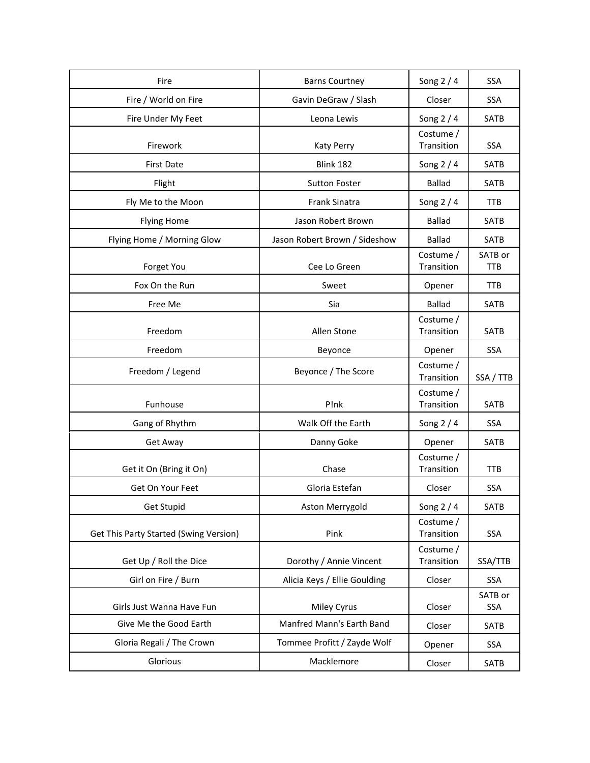| Fire                                   | <b>Barns Courtney</b>         | Song $2/4$              | <b>SSA</b>            |
|----------------------------------------|-------------------------------|-------------------------|-----------------------|
| Fire / World on Fire                   | Gavin DeGraw / Slash          | Closer                  | <b>SSA</b>            |
| Fire Under My Feet                     | Leona Lewis                   | Song 2 / 4              | SATB                  |
| Firework                               | <b>Katy Perry</b>             | Costume /<br>Transition | <b>SSA</b>            |
| <b>First Date</b>                      | Blink 182                     | Song $2/4$              | SATB                  |
| Flight                                 | <b>Sutton Foster</b>          | <b>Ballad</b>           | SATB                  |
| Fly Me to the Moon                     | Frank Sinatra                 | Song $2/4$              | TTB                   |
| <b>Flying Home</b>                     | Jason Robert Brown            | <b>Ballad</b>           | <b>SATB</b>           |
| Flying Home / Morning Glow             | Jason Robert Brown / Sideshow | <b>Ballad</b>           | <b>SATB</b>           |
| Forget You                             | Cee Lo Green                  | Costume /<br>Transition | SATB or<br><b>TTB</b> |
| Fox On the Run                         | Sweet                         | Opener                  | <b>TTB</b>            |
| Free Me                                | Sia                           | <b>Ballad</b>           | <b>SATB</b>           |
| Freedom                                | Allen Stone                   | Costume /<br>Transition | SATB                  |
| Freedom                                | Beyonce                       | Opener                  | <b>SSA</b>            |
| Freedom / Legend                       | Beyonce / The Score           | Costume /<br>Transition | SSA / TTB             |
| Funhouse                               | P!nk                          | Costume /<br>Transition | <b>SATB</b>           |
| Gang of Rhythm                         | Walk Off the Earth            | Song $2/4$              | <b>SSA</b>            |
| Get Away                               | Danny Goke                    | Opener                  | <b>SATB</b>           |
| Get it On (Bring it On)                | Chase                         | Costume /<br>Transition | <b>TTB</b>            |
| Get On Your Feet                       | Gloria Estefan                | Closer                  | <b>SSA</b>            |
| Get Stupid                             | Aston Merrygold               | Song $2/4$              | SATB                  |
| Get This Party Started (Swing Version) | Pink                          | Costume /<br>Transition | <b>SSA</b>            |
| Get Up / Roll the Dice                 | Dorothy / Annie Vincent       | Costume /<br>Transition | SSA/TTB               |
| Girl on Fire / Burn                    | Alicia Keys / Ellie Goulding  | Closer                  | SSA                   |
| Girls Just Wanna Have Fun              | Miley Cyrus                   | Closer                  | SATB or<br><b>SSA</b> |
| Give Me the Good Earth                 | Manfred Mann's Earth Band     | Closer                  | SATB                  |
| Gloria Regali / The Crown              | Tommee Profitt / Zayde Wolf   | Opener                  | <b>SSA</b>            |
| Glorious                               | Macklemore                    | Closer                  | SATB                  |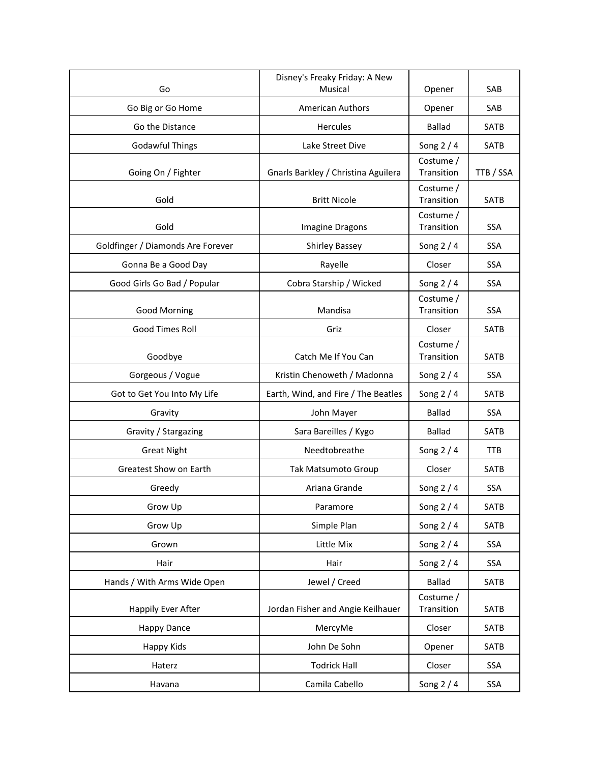| Go                                | Disney's Freaky Friday: A New<br>Musical | Opener                  | SAB         |
|-----------------------------------|------------------------------------------|-------------------------|-------------|
|                                   | <b>American Authors</b>                  |                         | SAB         |
| Go Big or Go Home                 |                                          | Opener                  |             |
| Go the Distance                   | Hercules                                 | <b>Ballad</b>           | <b>SATB</b> |
| <b>Godawful Things</b>            | Lake Street Dive                         | Song $2/4$              | <b>SATB</b> |
| Going On / Fighter                | Gnarls Barkley / Christina Aguilera      | Costume /<br>Transition | TTB / SSA   |
| Gold                              | <b>Britt Nicole</b>                      | Costume /<br>Transition | SATB        |
| Gold                              | Imagine Dragons                          | Costume /<br>Transition | <b>SSA</b>  |
| Goldfinger / Diamonds Are Forever | <b>Shirley Bassey</b>                    | Song $2/4$              | <b>SSA</b>  |
| Gonna Be a Good Day               | Rayelle                                  | Closer                  | <b>SSA</b>  |
| Good Girls Go Bad / Popular       | Cobra Starship / Wicked                  | Song $2/4$              | <b>SSA</b>  |
| <b>Good Morning</b>               | Mandisa                                  | Costume /<br>Transition | SSA         |
| <b>Good Times Roll</b>            | Griz                                     | Closer                  | <b>SATB</b> |
| Goodbye                           | Catch Me If You Can                      | Costume /<br>Transition | SATB        |
| Gorgeous / Vogue                  | Kristin Chenoweth / Madonna              | Song $2/4$              | SSA         |
| Got to Get You Into My Life       | Earth, Wind, and Fire / The Beatles      | Song $2/4$              | <b>SATB</b> |
| Gravity                           | John Mayer                               | <b>Ballad</b>           | SSA         |
| Gravity / Stargazing              | Sara Bareilles / Kygo                    | <b>Ballad</b>           | SATB        |
| <b>Great Night</b>                | Needtobreathe                            | Song $2/4$              | <b>TTB</b>  |
| Greatest Show on Earth            | Tak Matsumoto Group                      | Closer                  | <b>SATB</b> |
| Greedy                            | Ariana Grande                            | Song $2/4$              | <b>SSA</b>  |
| Grow Up                           | Paramore                                 | Song 2 / 4              | SATB        |
| Grow Up                           | Simple Plan                              | Song 2 / 4              | SATB        |
| Grown                             | Little Mix                               | Song $2/4$              | SSA         |
| Hair                              | Hair                                     | Song $2/4$              | SSA         |
| Hands / With Arms Wide Open       | Jewel / Creed                            | <b>Ballad</b>           | SATB        |
| Happily Ever After                | Jordan Fisher and Angie Keilhauer        | Costume /<br>Transition | SATB        |
| <b>Happy Dance</b>                | MercyMe                                  | Closer                  | SATB        |
| Happy Kids                        | John De Sohn                             | Opener                  | SATB        |
| Haterz                            | <b>Todrick Hall</b>                      | Closer                  | SSA         |
| Havana                            | Camila Cabello                           | Song $2/4$              | SSA         |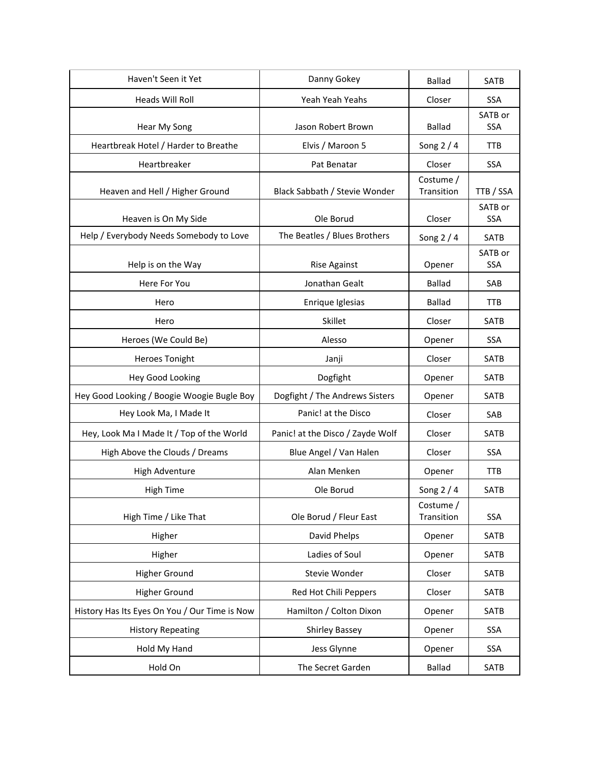| Haven't Seen it Yet                           | Danny Gokey                      | <b>Ballad</b>           | <b>SATB</b>           |
|-----------------------------------------------|----------------------------------|-------------------------|-----------------------|
| Heads Will Roll                               | Yeah Yeah Yeahs                  | Closer                  | <b>SSA</b>            |
|                                               |                                  |                         | SATB or               |
| Hear My Song                                  | Jason Robert Brown               | <b>Ballad</b>           | <b>SSA</b>            |
| Heartbreak Hotel / Harder to Breathe          | Elvis / Maroon 5                 | Song $2/4$              | <b>TTB</b>            |
| Heartbreaker                                  | Pat Benatar                      | Closer<br>Costume /     | <b>SSA</b>            |
| Heaven and Hell / Higher Ground               | Black Sabbath / Stevie Wonder    | Transition              | TTB / SSA             |
| Heaven is On My Side                          | Ole Borud                        | Closer                  | SATB or<br><b>SSA</b> |
| Help / Everybody Needs Somebody to Love       | The Beatles / Blues Brothers     | Song 2 / 4              | <b>SATB</b>           |
| Help is on the Way                            | Rise Against                     | Opener                  | SATB or<br><b>SSA</b> |
| Here For You                                  | Jonathan Gealt                   | <b>Ballad</b>           | SAB                   |
| Hero                                          | Enrique Iglesias                 | <b>Ballad</b>           | <b>TTB</b>            |
| Hero                                          | Skillet                          | Closer                  | <b>SATB</b>           |
| Heroes (We Could Be)                          | Alesso                           | Opener                  | <b>SSA</b>            |
| <b>Heroes Tonight</b>                         | Janji                            | Closer                  | SATB                  |
| Hey Good Looking                              | Dogfight                         | Opener                  | <b>SATB</b>           |
| Hey Good Looking / Boogie Woogie Bugle Boy    | Dogfight / The Andrews Sisters   | Opener                  | <b>SATB</b>           |
| Hey Look Ma, I Made It                        | Panic! at the Disco              | Closer                  | SAB                   |
| Hey, Look Ma I Made It / Top of the World     | Panic! at the Disco / Zayde Wolf | Closer                  | <b>SATB</b>           |
| High Above the Clouds / Dreams                | Blue Angel / Van Halen           | Closer                  | <b>SSA</b>            |
| High Adventure                                | Alan Menken                      | Opener                  | <b>TTB</b>            |
| <b>High Time</b>                              | Ole Borud                        | Song $2/4$              | <b>SATB</b>           |
| High Time / Like That                         | Ole Borud / Fleur East           | Costume /<br>Transition | <b>SSA</b>            |
| Higher                                        | David Phelps                     | Opener                  | SATB                  |
| Higher                                        | Ladies of Soul                   | Opener                  | SATB                  |
| <b>Higher Ground</b>                          | Stevie Wonder                    | Closer                  | SATB                  |
| Higher Ground                                 | Red Hot Chili Peppers            | Closer                  | SATB                  |
| History Has Its Eyes On You / Our Time is Now | Hamilton / Colton Dixon          | Opener                  | SATB                  |
| <b>History Repeating</b>                      | <b>Shirley Bassey</b>            | Opener                  | SSA                   |
| Hold My Hand                                  | Jess Glynne                      | Opener                  | SSA                   |
| Hold On                                       | The Secret Garden                | <b>Ballad</b>           | SATB                  |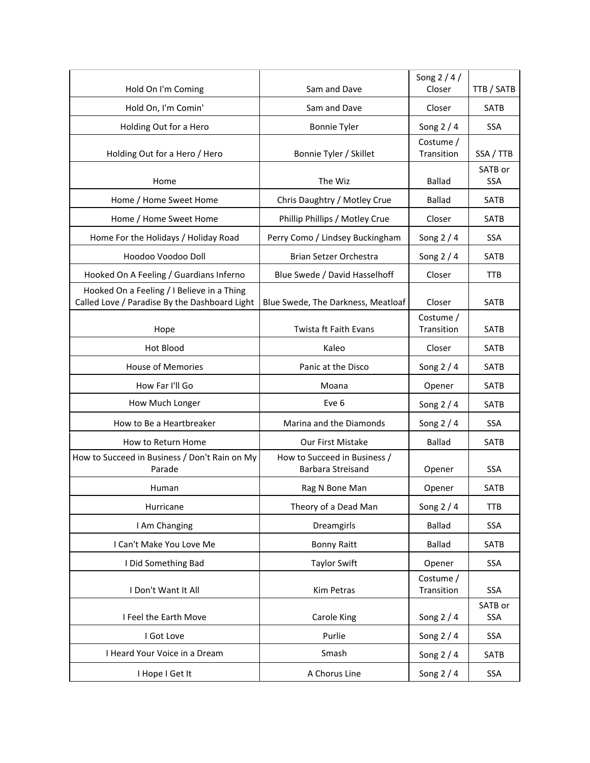| Hold On I'm Coming                                                                          | Sam and Dave                                      | Song 2 / 4 /<br>Closer  | TTB / SATB            |
|---------------------------------------------------------------------------------------------|---------------------------------------------------|-------------------------|-----------------------|
| Hold On, I'm Comin'                                                                         | Sam and Dave                                      | Closer                  | <b>SATB</b>           |
| Holding Out for a Hero                                                                      | <b>Bonnie Tyler</b>                               | Song $2/4$              | <b>SSA</b>            |
| Holding Out for a Hero / Hero                                                               | Bonnie Tyler / Skillet                            | Costume /<br>Transition | SSA / TTB             |
| Home                                                                                        | The Wiz                                           | Ballad                  | SATB or<br><b>SSA</b> |
| Home / Home Sweet Home                                                                      | Chris Daughtry / Motley Crue                      | <b>Ballad</b>           | <b>SATB</b>           |
| Home / Home Sweet Home                                                                      | Phillip Phillips / Motley Crue                    | Closer                  | SATB                  |
| Home For the Holidays / Holiday Road                                                        | Perry Como / Lindsey Buckingham                   | Song $2/4$              | <b>SSA</b>            |
| Hoodoo Voodoo Doll                                                                          | <b>Brian Setzer Orchestra</b>                     | Song $2/4$              | <b>SATB</b>           |
| Hooked On A Feeling / Guardians Inferno                                                     | Blue Swede / David Hasselhoff                     | Closer                  | <b>TTB</b>            |
| Hooked On a Feeling / I Believe in a Thing<br>Called Love / Paradise By the Dashboard Light | Blue Swede, The Darkness, Meatloaf                | Closer                  | <b>SATB</b>           |
| Hope                                                                                        | Twista ft Faith Evans                             | Costume /<br>Transition | <b>SATB</b>           |
| Hot Blood                                                                                   | Kaleo                                             | Closer                  | <b>SATB</b>           |
| <b>House of Memories</b>                                                                    | Panic at the Disco                                | Song $2/4$              | <b>SATB</b>           |
| How Far I'll Go                                                                             | Moana                                             | Opener                  | <b>SATB</b>           |
| How Much Longer                                                                             | Eve 6                                             | Song $2/4$              | SATB                  |
| How to Be a Heartbreaker                                                                    | Marina and the Diamonds                           | Song $2/4$              | <b>SSA</b>            |
| How to Return Home                                                                          | Our First Mistake                                 | <b>Ballad</b>           | <b>SATB</b>           |
| How to Succeed in Business / Don't Rain on My<br>Parade                                     | How to Succeed in Business /<br>Barbara Streisand | Opener                  | <b>SSA</b>            |
| Human                                                                                       | Rag N Bone Man                                    | Opener                  | <b>SATB</b>           |
| Hurricane                                                                                   | Theory of a Dead Man                              | Song $2/4$              | <b>TTB</b>            |
| I Am Changing                                                                               | Dreamgirls                                        | <b>Ballad</b>           | SSA                   |
| I Can't Make You Love Me                                                                    | <b>Bonny Raitt</b>                                | <b>Ballad</b>           | SATB                  |
| I Did Something Bad                                                                         | <b>Taylor Swift</b>                               | Opener                  | SSA                   |
| I Don't Want It All                                                                         | Kim Petras                                        | Costume /<br>Transition | SSA                   |
| I Feel the Earth Move                                                                       | Carole King                                       | Song $2/4$              | SATB or<br>SSA        |
| I Got Love                                                                                  | Purlie                                            | Song $2/4$              | <b>SSA</b>            |
| I Heard Your Voice in a Dream                                                               | Smash                                             | Song $2/4$              | SATB                  |
| I Hope I Get It                                                                             | A Chorus Line                                     | Song 2 / 4              | SSA                   |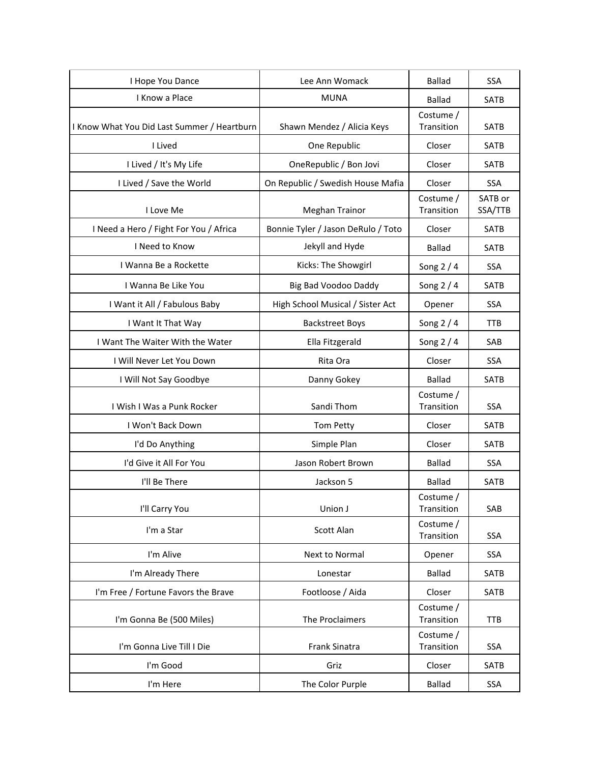| I Hope You Dance                            | Lee Ann Womack                     | <b>Ballad</b>           | SSA                |
|---------------------------------------------|------------------------------------|-------------------------|--------------------|
| I Know a Place                              | <b>MUNA</b>                        | <b>Ballad</b>           | <b>SATB</b>        |
| I Know What You Did Last Summer / Heartburn | Shawn Mendez / Alicia Keys         | Costume /<br>Transition | SATB               |
| I Lived                                     | One Republic                       | Closer                  | <b>SATB</b>        |
| I Lived / It's My Life                      | OneRepublic / Bon Jovi             | Closer                  | <b>SATB</b>        |
| I Lived / Save the World                    | On Republic / Swedish House Mafia  | Closer                  | SSA                |
| I Love Me                                   | <b>Meghan Trainor</b>              | Costume /<br>Transition | SATB or<br>SSA/TTB |
| I Need a Hero / Fight For You / Africa      | Bonnie Tyler / Jason DeRulo / Toto | Closer                  | <b>SATB</b>        |
| I Need to Know                              | Jekyll and Hyde                    | <b>Ballad</b>           | <b>SATB</b>        |
| I Wanna Be a Rockette                       | Kicks: The Showgirl                | Song $2/4$              | <b>SSA</b>         |
| I Wanna Be Like You                         | Big Bad Voodoo Daddy               | Song $2/4$              | SATB               |
| I Want it All / Fabulous Baby               | High School Musical / Sister Act   | Opener                  | <b>SSA</b>         |
| I Want It That Way                          | <b>Backstreet Boys</b>             | Song $2/4$              | <b>TTB</b>         |
| I Want The Waiter With the Water            | Ella Fitzgerald                    | Song $2/4$              | SAB                |
| I Will Never Let You Down                   | Rita Ora                           | Closer                  | <b>SSA</b>         |
| I Will Not Say Goodbye                      | Danny Gokey                        | <b>Ballad</b>           | <b>SATB</b>        |
| I Wish I Was a Punk Rocker                  | Sandi Thom                         | Costume /<br>Transition | SSA                |
| I Won't Back Down                           | Tom Petty                          | Closer                  | SATB               |
| I'd Do Anything                             | Simple Plan                        | Closer                  | SATB               |
| I'd Give it All For You                     | Jason Robert Brown                 | <b>Ballad</b>           | SSA                |
| I'll Be There                               | Jackson 5                          | <b>Ballad</b>           | <b>SATB</b>        |
| I'll Carry You                              | Union J                            | Costume /<br>Transition | SAB                |
| I'm a Star                                  | Scott Alan                         | Costume /<br>Transition | <b>SSA</b>         |
| I'm Alive                                   | Next to Normal                     | Opener                  | SSA                |
| I'm Already There                           | Lonestar                           | <b>Ballad</b>           | SATB               |
| I'm Free / Fortune Favors the Brave         | Footloose / Aida                   | Closer                  | SATB               |
| I'm Gonna Be (500 Miles)                    | The Proclaimers                    | Costume /<br>Transition | <b>TTB</b>         |
| I'm Gonna Live Till I Die                   | Frank Sinatra                      | Costume /<br>Transition | SSA                |
| I'm Good                                    | Griz                               | Closer                  | SATB               |
| I'm Here                                    | The Color Purple                   | <b>Ballad</b>           | <b>SSA</b>         |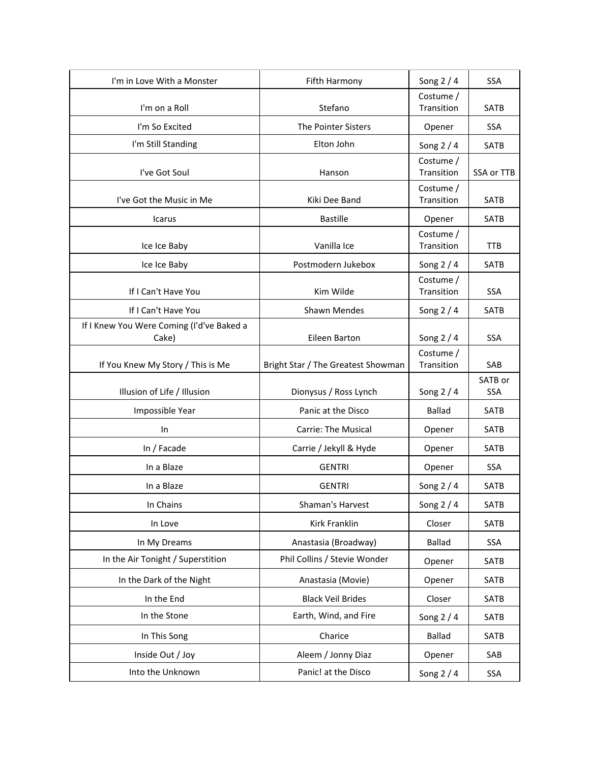| I'm in Love With a Monster                | Fifth Harmony                      | Song $2/4$              | <b>SSA</b>     |
|-------------------------------------------|------------------------------------|-------------------------|----------------|
| I'm on a Roll                             | Stefano                            | Costume /<br>Transition | SATB           |
|                                           |                                    |                         |                |
| I'm So Excited                            | The Pointer Sisters                | Opener                  | SSA            |
| I'm Still Standing                        | Elton John                         | Song $2/4$              | <b>SATB</b>    |
| I've Got Soul                             | Hanson                             | Costume /<br>Transition | SSA or TTB     |
|                                           |                                    | Costume /               |                |
| I've Got the Music in Me                  | Kiki Dee Band                      | Transition              | <b>SATB</b>    |
| Icarus                                    | <b>Bastille</b>                    | Opener                  | SATB           |
| Ice Ice Baby                              | Vanilla Ice                        | Costume /<br>Transition | <b>TTB</b>     |
| Ice Ice Baby                              | Postmodern Jukebox                 | Song $2/4$              | SATB           |
| If I Can't Have You                       | Kim Wilde                          | Costume /<br>Transition | SSA            |
| If I Can't Have You                       | Shawn Mendes                       | Song 2 / 4              | <b>SATB</b>    |
| If I Knew You Were Coming (I'd've Baked a |                                    |                         |                |
| Cake)                                     | Eileen Barton                      | Song $2/4$              | SSA            |
| If You Knew My Story / This is Me         | Bright Star / The Greatest Showman | Costume /<br>Transition | SAB            |
| Illusion of Life / Illusion               | Dionysus / Ross Lynch              | Song $2/4$              | SATB or<br>SSA |
| Impossible Year                           | Panic at the Disco                 | <b>Ballad</b>           | <b>SATB</b>    |
| In                                        | <b>Carrie: The Musical</b>         | Opener                  | <b>SATB</b>    |
| In / Facade                               | Carrie / Jekyll & Hyde             | Opener                  | <b>SATB</b>    |
| In a Blaze                                | <b>GENTRI</b>                      | Opener                  | SSA            |
| In a Blaze                                | <b>GENTRI</b>                      | Song $2/4$              | SATB           |
| In Chains                                 | Shaman's Harvest                   | Song $2/4$              | SATB           |
| In Love                                   | Kirk Franklin                      | Closer                  | SATB           |
| In My Dreams                              | Anastasia (Broadway)               | <b>Ballad</b>           | SSA            |
| In the Air Tonight / Superstition         | Phil Collins / Stevie Wonder       | Opener                  | SATB           |
| In the Dark of the Night                  | Anastasia (Movie)                  | Opener                  | <b>SATB</b>    |
| In the End                                | <b>Black Veil Brides</b>           | Closer                  | SATB           |
| In the Stone                              | Earth, Wind, and Fire              | Song $2/4$              | SATB           |
| In This Song                              | Charice                            | <b>Ballad</b>           | SATB           |
| Inside Out / Joy                          | Aleem / Jonny Diaz                 | Opener                  | SAB            |
| Into the Unknown                          | Panic! at the Disco                | Song 2 / 4              | SSA            |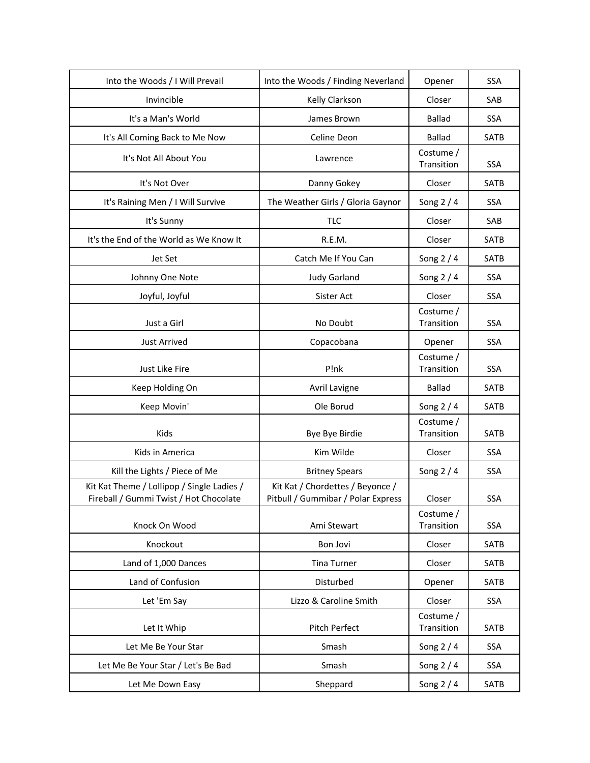| Into the Woods / I Will Prevail                                                      | Into the Woods / Finding Neverland                                     | Opener                  | <b>SSA</b>  |
|--------------------------------------------------------------------------------------|------------------------------------------------------------------------|-------------------------|-------------|
| Invincible                                                                           | Kelly Clarkson                                                         | Closer                  | SAB         |
| It's a Man's World                                                                   | James Brown                                                            | <b>Ballad</b>           | <b>SSA</b>  |
| It's All Coming Back to Me Now                                                       | Celine Deon                                                            | <b>Ballad</b>           | SATB        |
| It's Not All About You                                                               | Lawrence                                                               | Costume /<br>Transition | SSA         |
| It's Not Over                                                                        | Danny Gokey                                                            | Closer                  | SATB        |
| It's Raining Men / I Will Survive                                                    | The Weather Girls / Gloria Gaynor                                      | Song $2/4$              | <b>SSA</b>  |
| It's Sunny                                                                           | <b>TLC</b>                                                             | Closer                  | SAB         |
| It's the End of the World as We Know It                                              | R.E.M.                                                                 | Closer                  | SATB        |
| Jet Set                                                                              | Catch Me If You Can                                                    | Song $2/4$              | SATB        |
| Johnny One Note                                                                      | <b>Judy Garland</b>                                                    | Song $2/4$              | <b>SSA</b>  |
| Joyful, Joyful                                                                       | Sister Act                                                             | Closer                  | <b>SSA</b>  |
| Just a Girl                                                                          | No Doubt                                                               | Costume /<br>Transition | <b>SSA</b>  |
| <b>Just Arrived</b>                                                                  | Copacobana                                                             | Opener                  | <b>SSA</b>  |
| Just Like Fire                                                                       | P!nk                                                                   | Costume /<br>Transition | SSA         |
| Keep Holding On                                                                      | <b>Avril Lavigne</b>                                                   | <b>Ballad</b>           | <b>SATB</b> |
| Keep Movin'                                                                          | Ole Borud                                                              | Song $2/4$              | <b>SATB</b> |
| Kids                                                                                 | Bye Bye Birdie                                                         | Costume /<br>Transition | <b>SATB</b> |
| Kids in America                                                                      | Kim Wilde                                                              | Closer                  | <b>SSA</b>  |
| Kill the Lights / Piece of Me                                                        | <b>Britney Spears</b>                                                  | Song $2/4$              | <b>SSA</b>  |
| Kit Kat Theme / Lollipop / Single Ladies /<br>Fireball / Gummi Twist / Hot Chocolate | Kit Kat / Chordettes / Beyonce /<br>Pitbull / Gummibar / Polar Express | Closer                  | <b>SSA</b>  |
| Knock On Wood                                                                        | Ami Stewart                                                            | Costume /<br>Transition | SSA         |
| Knockout                                                                             | Bon Jovi                                                               | Closer                  | SATB        |
| Land of 1,000 Dances                                                                 | <b>Tina Turner</b>                                                     | Closer                  | SATB        |
| Land of Confusion                                                                    | Disturbed                                                              | Opener                  | SATB        |
| Let 'Em Say                                                                          | Lizzo & Caroline Smith                                                 | Closer                  | SSA         |
| Let It Whip                                                                          | Pitch Perfect                                                          | Costume /<br>Transition | SATB        |
| Let Me Be Your Star                                                                  | Smash                                                                  | Song $2/4$              | SSA         |
| Let Me Be Your Star / Let's Be Bad                                                   | Smash                                                                  | Song $2/4$              | SSA         |
| Let Me Down Easy                                                                     | Sheppard                                                               | Song $2/4$              | SATB        |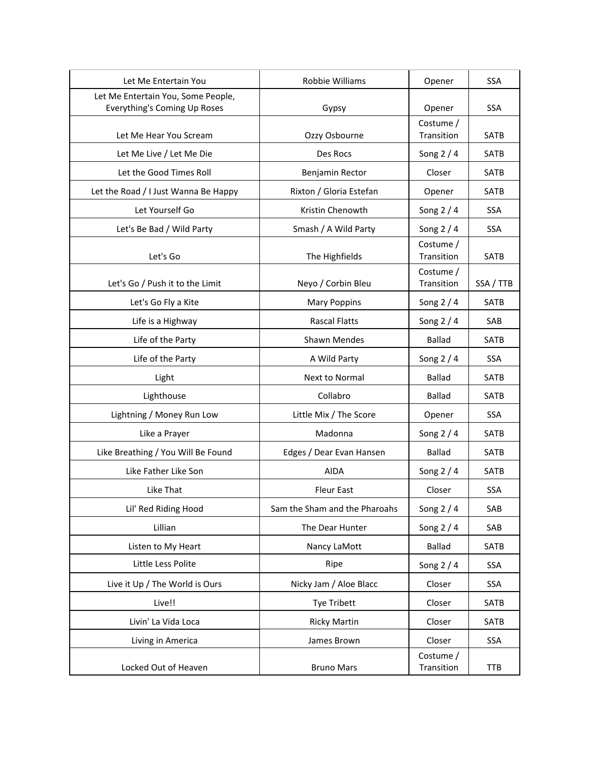| Let Me Entertain You                                               | Robbie Williams               | Opener                  | <b>SSA</b>  |
|--------------------------------------------------------------------|-------------------------------|-------------------------|-------------|
| Let Me Entertain You, Some People,<br>Everything's Coming Up Roses | Gypsy                         | Opener                  | <b>SSA</b>  |
| Let Me Hear You Scream                                             | Ozzy Osbourne                 | Costume /<br>Transition | <b>SATB</b> |
| Let Me Live / Let Me Die                                           | Des Rocs                      | Song $2/4$              | SATB        |
| Let the Good Times Roll                                            | Benjamin Rector               | Closer                  | SATB        |
| Let the Road / I Just Wanna Be Happy                               | Rixton / Gloria Estefan       | Opener                  | <b>SATB</b> |
| Let Yourself Go                                                    | Kristin Chenowth              | Song $2/4$              | <b>SSA</b>  |
| Let's Be Bad / Wild Party                                          | Smash / A Wild Party          | Song 2 / 4              | SSA         |
| Let's Go                                                           | The Highfields                | Costume /<br>Transition | SATB        |
| Let's Go / Push it to the Limit                                    | Neyo / Corbin Bleu            | Costume /<br>Transition | SSA / TTB   |
| Let's Go Fly a Kite                                                | <b>Mary Poppins</b>           | Song $2/4$              | <b>SATB</b> |
| Life is a Highway                                                  | <b>Rascal Flatts</b>          | Song 2 / 4              | SAB         |
| Life of the Party                                                  | Shawn Mendes                  | <b>Ballad</b>           | SATB        |
| Life of the Party                                                  | A Wild Party                  | Song $2/4$              | <b>SSA</b>  |
| Light                                                              | Next to Normal                | <b>Ballad</b>           | <b>SATB</b> |
| Lighthouse                                                         | Collabro                      | <b>Ballad</b>           | <b>SATB</b> |
| Lightning / Money Run Low                                          | Little Mix / The Score        | Opener                  | SSA         |
| Like a Prayer                                                      | Madonna                       | Song $2/4$              | <b>SATB</b> |
| Like Breathing / You Will Be Found                                 | Edges / Dear Evan Hansen      | <b>Ballad</b>           | <b>SATB</b> |
| Like Father Like Son                                               | <b>AIDA</b>                   | Song $2/4$              | SATB        |
| Like That                                                          | <b>Fleur East</b>             | Closer                  | <b>SSA</b>  |
| Lil' Red Riding Hood                                               | Sam the Sham and the Pharoahs | Song $2/4$              | SAB         |
| Lillian                                                            | The Dear Hunter               | Song $2/4$              | SAB         |
| Listen to My Heart                                                 | Nancy LaMott                  | <b>Ballad</b>           | SATB        |
| Little Less Polite                                                 | Ripe                          | Song $2/4$              | SSA         |
| Live it Up / The World is Ours                                     | Nicky Jam / Aloe Blacc        | Closer                  | <b>SSA</b>  |
| Live!!                                                             | Tye Tribett                   | Closer                  | SATB        |
| Livin' La Vida Loca                                                | <b>Ricky Martin</b>           | Closer                  | SATB        |
| Living in America                                                  | James Brown                   | Closer                  | SSA         |
| Locked Out of Heaven                                               | <b>Bruno Mars</b>             | Costume /<br>Transition | <b>TTB</b>  |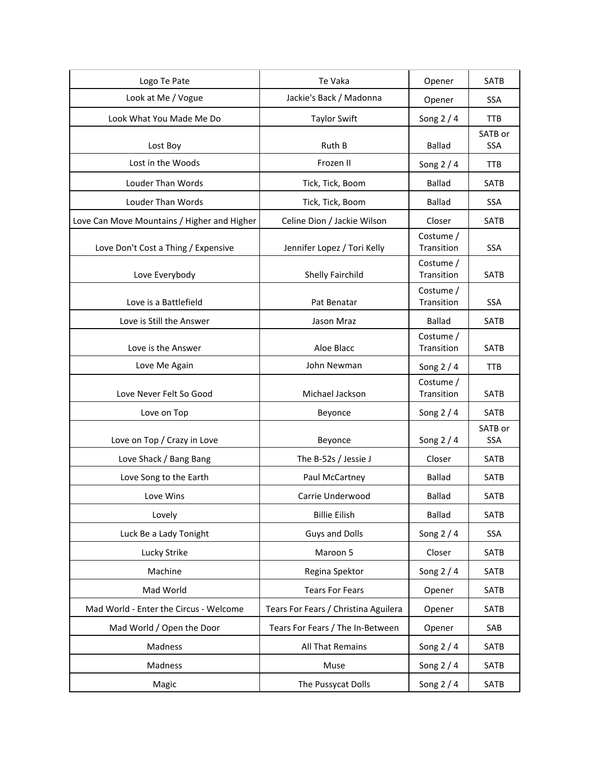| Logo Te Pate                                | Te Vaka                              | Opener                  | <b>SATB</b>           |
|---------------------------------------------|--------------------------------------|-------------------------|-----------------------|
| Look at Me / Vogue                          | Jackie's Back / Madonna              | Opener                  | <b>SSA</b>            |
| Look What You Made Me Do                    | <b>Taylor Swift</b>                  | Song 2 / 4              | <b>TTB</b>            |
| Lost Boy                                    | Ruth B                               | <b>Ballad</b>           | SATB or<br><b>SSA</b> |
| Lost in the Woods                           | Frozen II                            | Song $2/4$              | <b>TTB</b>            |
| <b>Louder Than Words</b>                    | Tick, Tick, Boom                     | <b>Ballad</b>           | SATB                  |
| Louder Than Words                           | Tick, Tick, Boom                     | <b>Ballad</b>           | SSA                   |
| Love Can Move Mountains / Higher and Higher | Celine Dion / Jackie Wilson          | Closer                  | <b>SATB</b>           |
| Love Don't Cost a Thing / Expensive         | Jennifer Lopez / Tori Kelly          | Costume /<br>Transition | <b>SSA</b>            |
| Love Everybody                              | Shelly Fairchild                     | Costume /<br>Transition | SATB                  |
| Love is a Battlefield                       | Pat Benatar                          | Costume /<br>Transition | <b>SSA</b>            |
| Love is Still the Answer                    | Jason Mraz                           | <b>Ballad</b>           | SATB                  |
| Love is the Answer                          | Aloe Blacc                           | Costume /<br>Transition | <b>SATB</b>           |
| Love Me Again                               | John Newman                          | Song $2/4$              | <b>TTB</b>            |
| Love Never Felt So Good                     | Michael Jackson                      | Costume /<br>Transition | <b>SATB</b>           |
| Love on Top                                 | Beyonce                              | Song $2/4$              | SATB                  |
| Love on Top / Crazy in Love                 | Beyonce                              | Song $2/4$              | SATB or<br><b>SSA</b> |
| Love Shack / Bang Bang                      | The B-52s / Jessie J                 | Closer                  | <b>SATB</b>           |
| Love Song to the Earth                      | Paul McCartney                       | <b>Ballad</b>           | SATB                  |
| Love Wins                                   | Carrie Underwood                     | <b>Ballad</b>           | <b>SATB</b>           |
| Lovely                                      | <b>Billie Eilish</b>                 | <b>Ballad</b>           | SATB                  |
| Luck Be a Lady Tonight                      | <b>Guys and Dolls</b>                | Song $2/4$              | SSA                   |
| Lucky Strike                                | Maroon 5                             | Closer                  | SATB                  |
| Machine                                     | Regina Spektor                       | Song $2/4$              | SATB                  |
| Mad World                                   | <b>Tears For Fears</b>               | Opener                  | <b>SATB</b>           |
| Mad World - Enter the Circus - Welcome      | Tears For Fears / Christina Aguilera | Opener                  | SATB                  |
| Mad World / Open the Door                   | Tears For Fears / The In-Between     | Opener                  | SAB                   |
| Madness                                     | All That Remains                     | Song 2 / 4              | SATB                  |
| Madness                                     | Muse                                 | Song $2/4$              | SATB                  |
| Magic                                       | The Pussycat Dolls                   | Song 2 / 4              | SATB                  |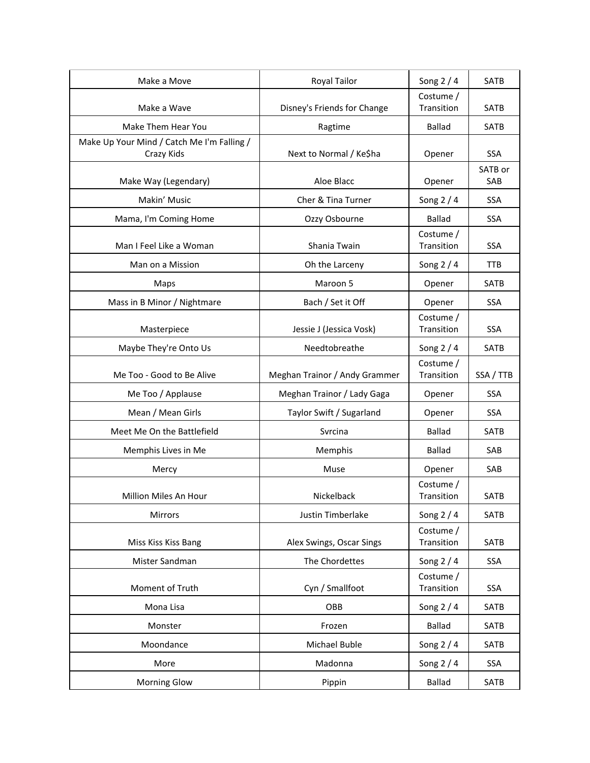| Make a Move                                | Royal Tailor                  | Song $2/4$              | SATB           |
|--------------------------------------------|-------------------------------|-------------------------|----------------|
| Make a Wave                                | Disney's Friends for Change   | Costume /<br>Transition | SATB           |
| Make Them Hear You                         | Ragtime                       | <b>Ballad</b>           | SATB           |
| Make Up Your Mind / Catch Me I'm Falling / |                               |                         |                |
| Crazy Kids                                 | Next to Normal / Ke\$ha       | Opener                  | <b>SSA</b>     |
| Make Way (Legendary)                       | Aloe Blacc                    | Opener                  | SATB or<br>SAB |
| Makin' Music                               | Cher & Tina Turner            | Song $2/4$              | <b>SSA</b>     |
| Mama, I'm Coming Home                      | Ozzy Osbourne                 | <b>Ballad</b>           | <b>SSA</b>     |
| Man I Feel Like a Woman                    | Shania Twain                  | Costume /<br>Transition | SSA            |
| Man on a Mission                           | Oh the Larceny                | Song $2/4$              | <b>TTB</b>     |
| Maps                                       | Maroon 5                      | Opener                  | <b>SATB</b>    |
| Mass in B Minor / Nightmare                | Bach / Set it Off             | Opener                  | <b>SSA</b>     |
| Masterpiece                                | Jessie J (Jessica Vosk)       | Costume /<br>Transition | SSA            |
| Maybe They're Onto Us                      | Needtobreathe                 | Song $2/4$              | <b>SATB</b>    |
| Me Too - Good to Be Alive                  | Meghan Trainor / Andy Grammer | Costume /<br>Transition | SSA / TTB      |
| Me Too / Applause                          | Meghan Trainor / Lady Gaga    | Opener                  | <b>SSA</b>     |
| Mean / Mean Girls                          | Taylor Swift / Sugarland      | Opener                  | <b>SSA</b>     |
| Meet Me On the Battlefield                 | Svrcina                       | <b>Ballad</b>           | <b>SATB</b>    |
| Memphis Lives in Me                        | Memphis                       | <b>Ballad</b>           | SAB            |
| Mercy                                      | Muse                          | Opener                  | SAB            |
| Million Miles An Hour                      | Nickelback                    | Costume /<br>Transition | <b>SATB</b>    |
| Mirrors                                    | Justin Timberlake             | Song $2/4$              | SATB           |
| Miss Kiss Kiss Bang                        | Alex Swings, Oscar Sings      | Costume /<br>Transition | SATB           |
| Mister Sandman                             | The Chordettes                | Song 2 / 4              | SSA            |
| Moment of Truth                            | Cyn / Smallfoot               | Costume /<br>Transition | SSA            |
| Mona Lisa                                  | OBB                           | Song 2 / 4              | SATB           |
| Monster                                    | Frozen                        | <b>Ballad</b>           | SATB           |
| Moondance                                  | Michael Buble                 | Song $2/4$              | SATB           |
| More                                       | Madonna                       | Song $2/4$              | SSA            |
| <b>Morning Glow</b>                        | Pippin                        | <b>Ballad</b>           | SATB           |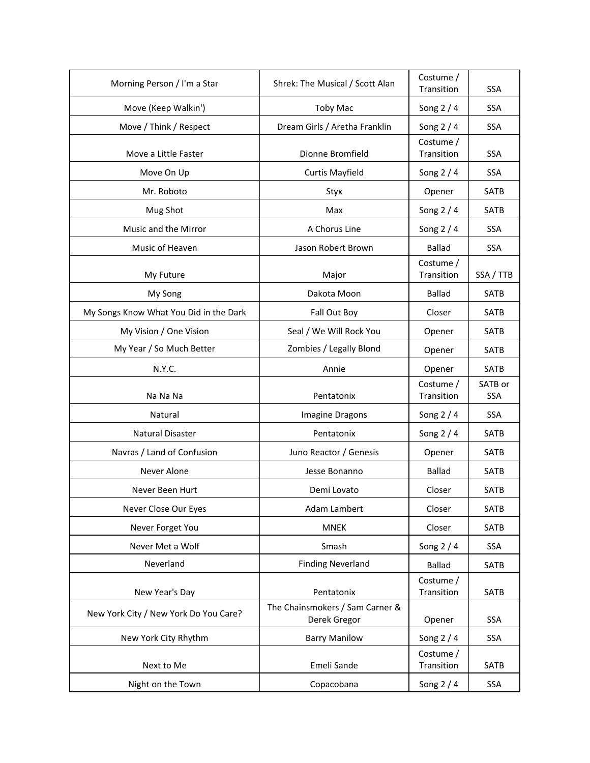| Morning Person / I'm a Star            | Shrek: The Musical / Scott Alan               | Costume /<br>Transition | <b>SSA</b>            |
|----------------------------------------|-----------------------------------------------|-------------------------|-----------------------|
| Move (Keep Walkin')                    | <b>Toby Mac</b>                               | Song $2/4$              | <b>SSA</b>            |
| Move / Think / Respect                 | Dream Girls / Aretha Franklin                 | Song 2 / 4              | SSA                   |
| Move a Little Faster                   | Dionne Bromfield                              | Costume /<br>Transition | <b>SSA</b>            |
| Move On Up                             | <b>Curtis Mayfield</b>                        | Song $2/4$              | SSA                   |
| Mr. Roboto                             | Styx                                          | Opener                  | <b>SATB</b>           |
| Mug Shot                               | Max                                           | Song $2/4$              | <b>SATB</b>           |
| Music and the Mirror                   | A Chorus Line                                 | Song $2/4$              | <b>SSA</b>            |
| Music of Heaven                        | Jason Robert Brown                            | <b>Ballad</b>           | SSA                   |
| My Future                              | Major                                         | Costume /<br>Transition | SSA / TTB             |
| My Song                                | Dakota Moon                                   | <b>Ballad</b>           | <b>SATB</b>           |
| My Songs Know What You Did in the Dark | Fall Out Boy                                  | Closer                  | <b>SATB</b>           |
| My Vision / One Vision                 | Seal / We Will Rock You                       | Opener                  | <b>SATB</b>           |
| My Year / So Much Better               | Zombies / Legally Blond                       | Opener                  | <b>SATB</b>           |
| N.Y.C.                                 | Annie                                         | Opener                  | SATB                  |
| Na Na Na                               | Pentatonix                                    | Costume /<br>Transition | SATB or<br><b>SSA</b> |
| Natural                                | Imagine Dragons                               | Song $2/4$              | SSA                   |
| Natural Disaster                       | Pentatonix                                    | Song $2/4$              | <b>SATB</b>           |
| Navras / Land of Confusion             | Juno Reactor / Genesis                        | Opener                  | <b>SATB</b>           |
| Never Alone                            | Jesse Bonanno                                 | <b>Ballad</b>           | <b>SATB</b>           |
| Never Been Hurt                        | Demi Lovato                                   | Closer                  | <b>SATB</b>           |
| Never Close Our Eyes                   | Adam Lambert                                  | Closer                  | SATB                  |
| Never Forget You                       | <b>MNEK</b>                                   | Closer                  | SATB                  |
| Never Met a Wolf                       | Smash                                         | Song $2/4$              | SSA                   |
| Neverland                              | <b>Finding Neverland</b>                      | <b>Ballad</b>           | <b>SATB</b>           |
|                                        |                                               | Costume /               |                       |
| New Year's Day                         | Pentatonix<br>The Chainsmokers / Sam Carner & | Transition              | <b>SATB</b>           |
| New York City / New York Do You Care?  | Derek Gregor                                  | Opener                  | SSA                   |
| New York City Rhythm                   | <b>Barry Manilow</b>                          | Song $2/4$              | SSA                   |
| Next to Me                             | Emeli Sande                                   | Costume /<br>Transition | SATB                  |
| Night on the Town                      | Copacobana                                    | Song $2/4$              | SSA                   |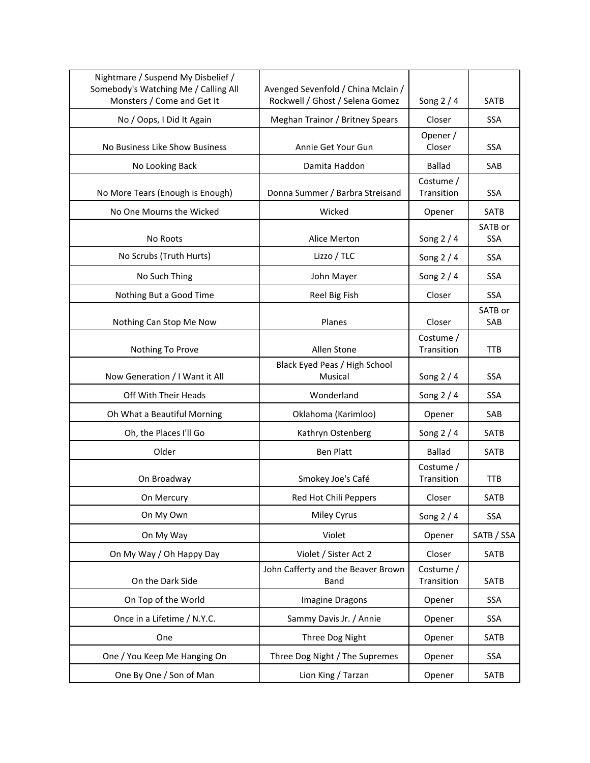| Nightmare / Suspend My Disbelief /<br>Somebody's Watching Me / Calling All<br>Monsters / Come and Get It | Avenged Sevenfold / China Mclain /<br>Rockwell / Ghost / Selena Gomez | Song $2/4$              | SATB                  |
|----------------------------------------------------------------------------------------------------------|-----------------------------------------------------------------------|-------------------------|-----------------------|
| No / Oops, I Did It Again                                                                                | Meghan Trainor / Britney Spears                                       | Closer                  | <b>SSA</b>            |
| No Business Like Show Business                                                                           | Annie Get Your Gun                                                    | Opener /<br>Closer      | <b>SSA</b>            |
| No Looking Back                                                                                          | Damita Haddon                                                         | <b>Ballad</b>           | SAB                   |
| No More Tears (Enough is Enough)                                                                         | Donna Summer / Barbra Streisand                                       | Costume /<br>Transition | SSA                   |
| No One Mourns the Wicked                                                                                 | Wicked                                                                | Opener                  | <b>SATB</b>           |
| No Roots                                                                                                 | Alice Merton                                                          | Song $2/4$              | SATB or<br><b>SSA</b> |
| No Scrubs (Truth Hurts)                                                                                  | Lizzo / TLC                                                           | Song $2/4$              | <b>SSA</b>            |
| No Such Thing                                                                                            | John Mayer                                                            | Song $2/4$              | <b>SSA</b>            |
| Nothing But a Good Time                                                                                  | Reel Big Fish                                                         | Closer                  | SSA                   |
| Nothing Can Stop Me Now                                                                                  | Planes                                                                | Closer                  | SATB or<br>SAB        |
| Nothing To Prove                                                                                         | Allen Stone                                                           | Costume /<br>Transition | <b>TTB</b>            |
| Now Generation / I Want it All                                                                           | Black Eyed Peas / High School<br>Musical                              | Song $2/4$              | SSA                   |
| Off With Their Heads                                                                                     | Wonderland                                                            | Song $2/4$              | <b>SSA</b>            |
| Oh What a Beautiful Morning                                                                              | Oklahoma (Karimloo)                                                   | Opener                  | SAB                   |
| Oh, the Places I'll Go                                                                                   | Kathryn Ostenberg                                                     | Song $2/4$              | SATB                  |
| Older                                                                                                    | <b>Ben Platt</b>                                                      | <b>Ballad</b>           | <b>SATB</b>           |
| On Broadway                                                                                              | Smokey Joe's Café                                                     | Costume /<br>Transition | TTB                   |
| On Mercury                                                                                               | Red Hot Chili Peppers                                                 | Closer                  | SATB                  |
| On My Own                                                                                                | Miley Cyrus                                                           | Song $2/4$              | <b>SSA</b>            |
| On My Way                                                                                                | Violet                                                                | Opener                  | SATB / SSA            |
| On My Way / Oh Happy Day                                                                                 | Violet / Sister Act 2                                                 | Closer                  | SATB                  |
| On the Dark Side                                                                                         | John Cafferty and the Beaver Brown<br>Band                            | Costume /<br>Transition | SATB                  |
| On Top of the World                                                                                      | Imagine Dragons                                                       | Opener                  | <b>SSA</b>            |
| Once in a Lifetime / N.Y.C.                                                                              | Sammy Davis Jr. / Annie                                               | Opener                  | SSA                   |
| One                                                                                                      | Three Dog Night                                                       | Opener                  | SATB                  |
| One / You Keep Me Hanging On                                                                             | Three Dog Night / The Supremes                                        | Opener                  | SSA                   |
| One By One / Son of Man                                                                                  | Lion King / Tarzan                                                    | Opener                  | SATB                  |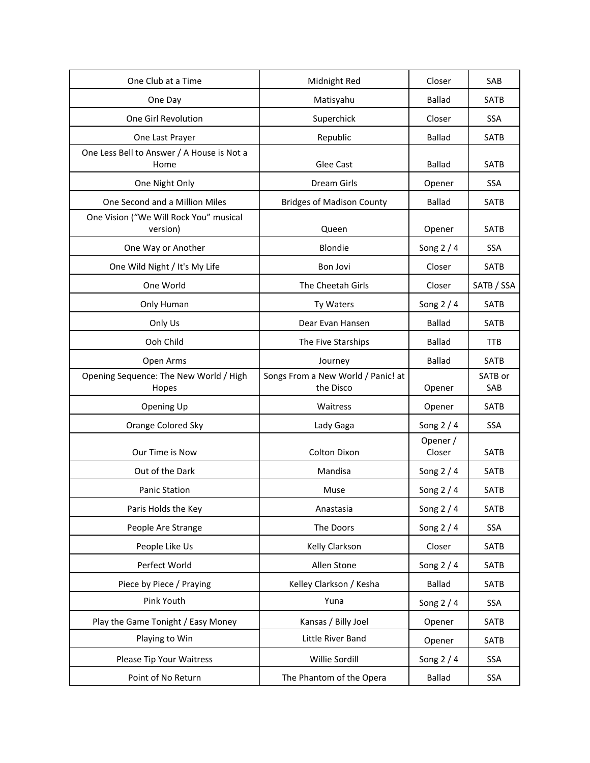| One Club at a Time                                 | Midnight Red                                    | Closer             | SAB            |
|----------------------------------------------------|-------------------------------------------------|--------------------|----------------|
| One Day                                            | Matisyahu                                       | <b>Ballad</b>      | SATB           |
| One Girl Revolution                                | Superchick                                      | Closer             | <b>SSA</b>     |
| One Last Prayer                                    | Republic                                        | <b>Ballad</b>      | SATB           |
| One Less Bell to Answer / A House is Not a<br>Home | Glee Cast                                       | <b>Ballad</b>      | SATB           |
| One Night Only                                     | Dream Girls                                     | Opener             | SSA            |
| One Second and a Million Miles                     | <b>Bridges of Madison County</b>                | <b>Ballad</b>      | <b>SATB</b>    |
| One Vision ("We Will Rock You" musical<br>version) | Queen                                           | Opener             | SATB           |
| One Way or Another                                 | Blondie                                         | Song $2/4$         | SSA            |
| One Wild Night / It's My Life                      | Bon Jovi                                        | Closer             | <b>SATB</b>    |
| One World                                          | The Cheetah Girls                               | Closer             | SATB / SSA     |
| Only Human                                         | Ty Waters                                       | Song $2/4$         | SATB           |
| Only Us                                            | Dear Evan Hansen                                | <b>Ballad</b>      | SATB           |
| Ooh Child                                          | The Five Starships                              | <b>Ballad</b>      | <b>TTB</b>     |
| Open Arms                                          | Journey                                         | <b>Ballad</b>      | SATB           |
| Opening Sequence: The New World / High<br>Hopes    | Songs From a New World / Panic! at<br>the Disco | Opener             | SATB or<br>SAB |
| Opening Up                                         | Waitress                                        | Opener             | <b>SATB</b>    |
| Orange Colored Sky                                 | Lady Gaga                                       | Song 2 / 4         | SSA            |
| Our Time is Now                                    | <b>Colton Dixon</b>                             | Opener /<br>Closer | SATB           |
| Out of the Dark                                    | Mandisa                                         | Song $2/4$         | SATB           |
| <b>Panic Station</b>                               | Muse                                            | Song 2 / 4         | <b>SATB</b>    |
| Paris Holds the Key                                | Anastasia                                       | Song 2 / 4         | SATB           |
| People Are Strange                                 | The Doors                                       | Song $2/4$         | SSA            |
| People Like Us                                     | Kelly Clarkson                                  | Closer             | SATB           |
| Perfect World                                      | Allen Stone                                     | Song $2/4$         | SATB           |
| Piece by Piece / Praying                           | Kelley Clarkson / Kesha                         | <b>Ballad</b>      | SATB           |
| Pink Youth                                         | Yuna                                            | Song $2/4$         | SSA            |
| Play the Game Tonight / Easy Money                 | Kansas / Billy Joel                             | Opener             | SATB           |
| Playing to Win                                     | Little River Band                               | Opener             | SATB           |
| Please Tip Your Waitress                           | Willie Sordill                                  | Song $2/4$         | SSA            |
| Point of No Return                                 | The Phantom of the Opera                        | <b>Ballad</b>      | SSA            |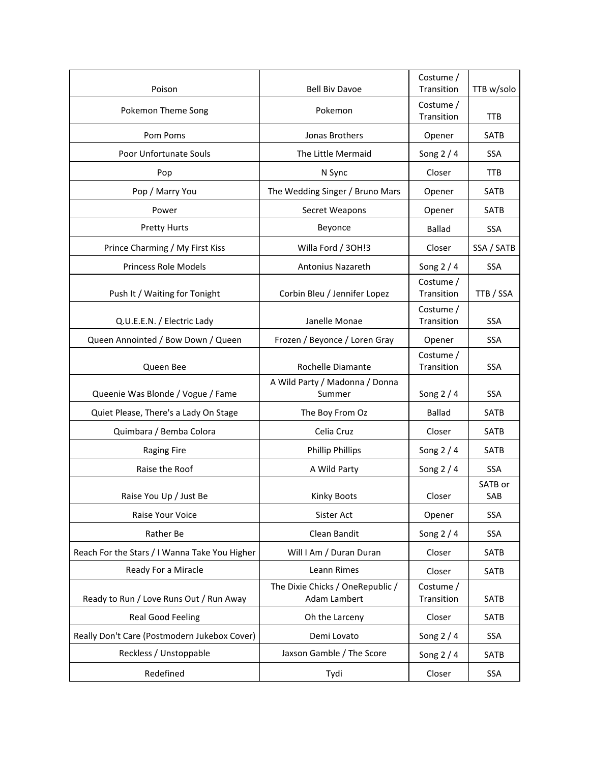| Poison                                        | <b>Bell Biv Davoe</b>                            | Costume /<br>Transition | TTB w/solo     |
|-----------------------------------------------|--------------------------------------------------|-------------------------|----------------|
| Pokemon Theme Song                            | Pokemon                                          | Costume /<br>Transition | <b>TTB</b>     |
| Pom Poms                                      | Jonas Brothers                                   | Opener                  | <b>SATB</b>    |
| Poor Unfortunate Souls                        | The Little Mermaid                               | Song $2/4$              | <b>SSA</b>     |
| Pop                                           | N Sync                                           | Closer                  | <b>TTB</b>     |
| Pop / Marry You                               | The Wedding Singer / Bruno Mars                  | Opener                  | <b>SATB</b>    |
| Power                                         | Secret Weapons                                   | Opener                  | <b>SATB</b>    |
| <b>Pretty Hurts</b>                           | Beyonce                                          | <b>Ballad</b>           | <b>SSA</b>     |
| Prince Charming / My First Kiss               | Willa Ford / 30H!3                               | Closer                  | SSA / SATB     |
| <b>Princess Role Models</b>                   | <b>Antonius Nazareth</b>                         | Song 2 / 4              | <b>SSA</b>     |
| Push It / Waiting for Tonight                 | Corbin Bleu / Jennifer Lopez                     | Costume /<br>Transition | TTB / SSA      |
| Q.U.E.E.N. / Electric Lady                    | Janelle Monae                                    | Costume /<br>Transition | <b>SSA</b>     |
| Queen Annointed / Bow Down / Queen            | Frozen / Beyonce / Loren Gray                    | Opener                  | <b>SSA</b>     |
| Queen Bee                                     | Rochelle Diamante                                | Costume /<br>Transition | <b>SSA</b>     |
| Queenie Was Blonde / Vogue / Fame             | A Wild Party / Madonna / Donna<br>Summer         | Song $2/4$              | <b>SSA</b>     |
| Quiet Please, There's a Lady On Stage         | The Boy From Oz                                  | <b>Ballad</b>           | SATB           |
| Quimbara / Bemba Colora                       | Celia Cruz                                       | Closer                  | SATB           |
| <b>Raging Fire</b>                            | <b>Phillip Phillips</b>                          | Song $2/4$              | SATB           |
| Raise the Roof                                | A Wild Party                                     | Song $2/4$              | SSA            |
| Raise You Up / Just Be                        | <b>Kinky Boots</b>                               | Closer                  | SATB or<br>SAB |
| Raise Your Voice                              | Sister Act                                       | Opener                  | SSA            |
| Rather Be                                     | Clean Bandit                                     | Song 2 / 4              | SSA            |
| Reach For the Stars / I Wanna Take You Higher | Will I Am / Duran Duran                          | Closer                  | SATB           |
| Ready For a Miracle                           | Leann Rimes                                      | Closer                  | SATB           |
| Ready to Run / Love Runs Out / Run Away       | The Dixie Chicks / OneRepublic /<br>Adam Lambert | Costume /<br>Transition | SATB           |
| <b>Real Good Feeling</b>                      | Oh the Larceny                                   | Closer                  | SATB           |
| Really Don't Care (Postmodern Jukebox Cover)  | Demi Lovato                                      | Song $2/4$              | SSA            |
| Reckless / Unstoppable                        | Jaxson Gamble / The Score                        | Song $2/4$              | <b>SATB</b>    |
| Redefined                                     | Tydi                                             | Closer                  | SSA            |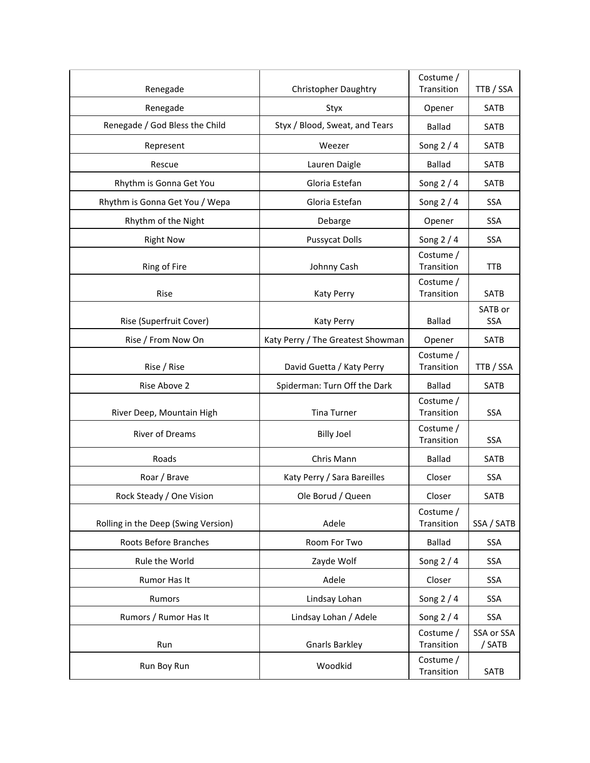| Renegade                            | <b>Christopher Daughtry</b>       | Costume /<br>Transition | TTB / SSA            |
|-------------------------------------|-----------------------------------|-------------------------|----------------------|
| Renegade                            | Styx                              | Opener                  | SATB                 |
| Renegade / God Bless the Child      | Styx / Blood, Sweat, and Tears    | <b>Ballad</b>           | SATB                 |
| Represent                           | Weezer                            | Song $2/4$              | <b>SATB</b>          |
| Rescue                              | Lauren Daigle                     | <b>Ballad</b>           | SATB                 |
| Rhythm is Gonna Get You             | Gloria Estefan                    | Song $2/4$              | SATB                 |
| Rhythm is Gonna Get You / Wepa      | Gloria Estefan                    | Song $2/4$              | <b>SSA</b>           |
| Rhythm of the Night                 | Debarge                           | Opener                  | <b>SSA</b>           |
| <b>Right Now</b>                    | <b>Pussycat Dolls</b>             | Song 2 / 4              | <b>SSA</b>           |
| Ring of Fire                        | Johnny Cash                       | Costume /<br>Transition | <b>TTB</b>           |
| Rise                                | <b>Katy Perry</b>                 | Costume /<br>Transition | SATB                 |
| Rise (Superfruit Cover)             | <b>Katy Perry</b>                 | <b>Ballad</b>           | SATB or<br>SSA       |
| Rise / From Now On                  | Katy Perry / The Greatest Showman | Opener                  | SATB                 |
| Rise / Rise                         | David Guetta / Katy Perry         | Costume /<br>Transition | TTB / SSA            |
| Rise Above 2                        | Spiderman: Turn Off the Dark      | <b>Ballad</b>           | SATB                 |
| River Deep, Mountain High           | <b>Tina Turner</b>                | Costume /<br>Transition | <b>SSA</b>           |
| River of Dreams                     | <b>Billy Joel</b>                 | Costume /<br>Transition | SSA                  |
| Roads                               | Chris Mann                        | <b>Ballad</b>           | SATB                 |
| Roar / Brave                        | Katy Perry / Sara Bareilles       | Closer                  | <b>SSA</b>           |
| Rock Steady / One Vision            | Ole Borud / Queen                 | Closer                  | <b>SATB</b>          |
| Rolling in the Deep (Swing Version) |                                   | Costume /               |                      |
|                                     | Adele                             | Transition              | SSA / SATB           |
| Roots Before Branches               | Room For Two                      | <b>Ballad</b>           | SSA                  |
| Rule the World                      | Zayde Wolf                        | Song $2/4$              | SSA                  |
| Rumor Has It                        | Adele                             | Closer                  | SSA                  |
| Rumors                              | Lindsay Lohan                     | Song $2/4$              | SSA                  |
| Rumors / Rumor Has It               | Lindsay Lohan / Adele             | Song $2/4$              | SSA                  |
| Run                                 | <b>Gnarls Barkley</b>             | Costume /<br>Transition | SSA or SSA<br>/ SATB |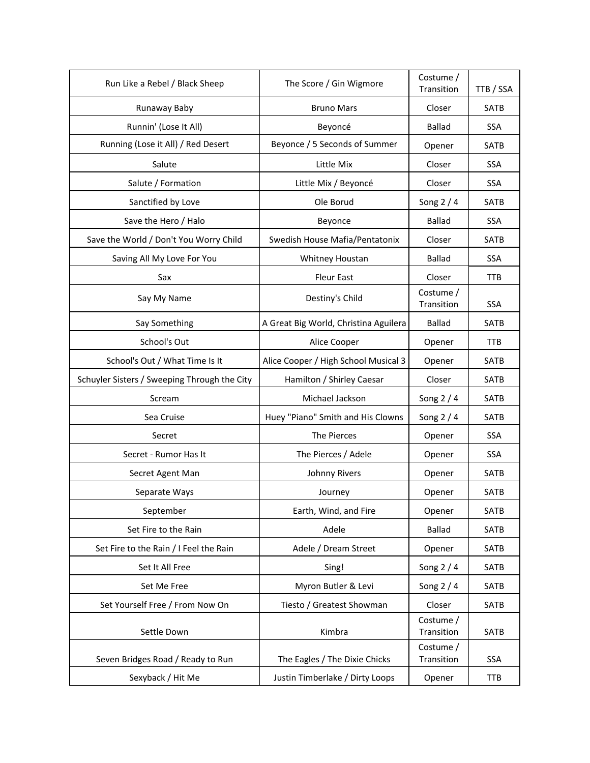| Run Like a Rebel / Black Sheep               | The Score / Gin Wigmore               | Costume /<br>Transition | TTB / SSA   |
|----------------------------------------------|---------------------------------------|-------------------------|-------------|
| Runaway Baby                                 | <b>Bruno Mars</b>                     | Closer                  | <b>SATB</b> |
| Runnin' (Lose It All)                        | Beyoncé                               | <b>Ballad</b>           | SSA         |
| Running (Lose it All) / Red Desert           | Beyonce / 5 Seconds of Summer         | Opener                  | <b>SATB</b> |
| Salute                                       | Little Mix                            | Closer                  | <b>SSA</b>  |
| Salute / Formation                           | Little Mix / Beyoncé                  | Closer                  | <b>SSA</b>  |
| Sanctified by Love                           | Ole Borud                             | Song $2/4$              | <b>SATB</b> |
| Save the Hero / Halo                         | Beyonce                               | <b>Ballad</b>           | SSA         |
| Save the World / Don't You Worry Child       | Swedish House Mafia/Pentatonix        | Closer                  | <b>SATB</b> |
| Saving All My Love For You                   | Whitney Houstan                       | <b>Ballad</b>           | <b>SSA</b>  |
| Sax                                          | <b>Fleur East</b>                     | Closer                  | <b>TTB</b>  |
| Say My Name                                  | Destiny's Child                       | Costume /<br>Transition | <b>SSA</b>  |
| Say Something                                | A Great Big World, Christina Aguilera | <b>Ballad</b>           | <b>SATB</b> |
| School's Out                                 | Alice Cooper                          | Opener                  | <b>TTB</b>  |
| School's Out / What Time Is It               | Alice Cooper / High School Musical 3  | Opener                  | <b>SATB</b> |
| Schuyler Sisters / Sweeping Through the City | Hamilton / Shirley Caesar             | Closer                  | SATB        |
| Scream                                       | Michael Jackson                       | Song $2/4$              | <b>SATB</b> |
| Sea Cruise                                   | Huey "Piano" Smith and His Clowns     | Song $2/4$              | <b>SATB</b> |
| Secret                                       | The Pierces                           | Opener                  | SSA         |
| Secret - Rumor Has It                        | The Pierces / Adele                   | Opener                  | <b>SSA</b>  |
| Secret Agent Man                             | Johnny Rivers                         | Opener                  | <b>SATB</b> |
| Separate Ways                                | Journey                               | Opener                  | <b>SATB</b> |
| September                                    | Earth, Wind, and Fire                 | Opener                  | SATB        |
| Set Fire to the Rain                         | Adele                                 | <b>Ballad</b>           | SATB        |
| Set Fire to the Rain / I Feel the Rain       | Adele / Dream Street                  | Opener                  | SATB        |
| Set It All Free                              | Sing!                                 | Song $2/4$              | SATB        |
| Set Me Free                                  | Myron Butler & Levi                   | Song $2/4$              | SATB        |
| Set Yourself Free / From Now On              | Tiesto / Greatest Showman             | Closer                  | SATB        |
| Settle Down                                  | Kimbra                                | Costume /<br>Transition | SATB        |
| Seven Bridges Road / Ready to Run            | The Eagles / The Dixie Chicks         | Costume /<br>Transition | <b>SSA</b>  |
| Sexyback / Hit Me                            | Justin Timberlake / Dirty Loops       | Opener                  | <b>TTB</b>  |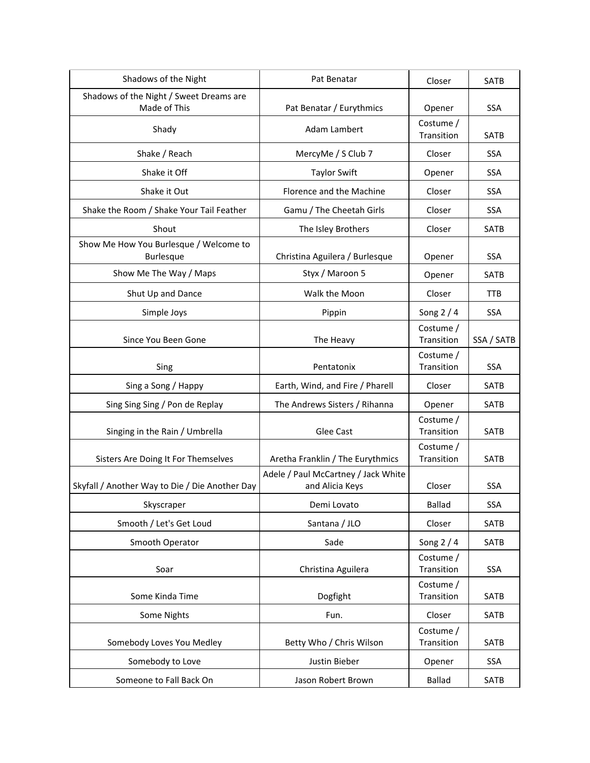| Shadows of the Night                                       | Pat Benatar                                            | Closer                  | SATB        |
|------------------------------------------------------------|--------------------------------------------------------|-------------------------|-------------|
| Shadows of the Night / Sweet Dreams are<br>Made of This    | Pat Benatar / Eurythmics                               | Opener                  | <b>SSA</b>  |
| Shady                                                      | Adam Lambert                                           | Costume /<br>Transition | <b>SATB</b> |
| Shake / Reach                                              | MercyMe / S Club 7                                     | Closer                  | <b>SSA</b>  |
| Shake it Off                                               | <b>Taylor Swift</b>                                    | Opener                  | <b>SSA</b>  |
| Shake it Out                                               | Florence and the Machine                               | Closer                  | <b>SSA</b>  |
| Shake the Room / Shake Your Tail Feather                   | Gamu / The Cheetah Girls                               | Closer                  | <b>SSA</b>  |
| Shout                                                      | The Isley Brothers                                     | Closer                  | SATB        |
| Show Me How You Burlesque / Welcome to<br><b>Burlesque</b> | Christina Aguilera / Burlesque                         | Opener                  | <b>SSA</b>  |
| Show Me The Way / Maps                                     | Styx / Maroon 5                                        | Opener                  | <b>SATB</b> |
| Shut Up and Dance                                          | Walk the Moon                                          | Closer                  | TTB         |
| Simple Joys                                                | Pippin                                                 | Song $2/4$              | <b>SSA</b>  |
| Since You Been Gone                                        | The Heavy                                              | Costume /<br>Transition | SSA / SATB  |
| Sing                                                       | Pentatonix                                             | Costume /<br>Transition | SSA         |
| Sing a Song / Happy                                        | Earth, Wind, and Fire / Pharell                        | Closer                  | <b>SATB</b> |
| Sing Sing Sing / Pon de Replay                             | The Andrews Sisters / Rihanna                          | Opener                  | SATB        |
| Singing in the Rain / Umbrella                             | Glee Cast                                              | Costume /<br>Transition | <b>SATB</b> |
| Sisters Are Doing It For Themselves                        | Aretha Franklin / The Eurythmics                       | Costume /<br>Transition | <b>SATB</b> |
| Skyfall / Another Way to Die / Die Another Day             | Adele / Paul McCartney / Jack White<br>and Alicia Keys | Closer                  | <b>SSA</b>  |
| Skyscraper                                                 | Demi Lovato                                            | <b>Ballad</b>           | SSA         |
| Smooth / Let's Get Loud                                    | Santana / JLO                                          | Closer                  | SATB        |
| Smooth Operator                                            | Sade                                                   | Song $2/4$              | SATB        |
| Soar                                                       | Christina Aguilera                                     | Costume /<br>Transition | SSA         |
| Some Kinda Time                                            | Dogfight                                               | Costume /<br>Transition | SATB        |
| Some Nights                                                | Fun.                                                   | Closer                  | SATB        |
| Somebody Loves You Medley                                  | Betty Who / Chris Wilson                               | Costume /<br>Transition | SATB        |
| Somebody to Love                                           | Justin Bieber                                          | Opener                  | SSA         |
| Someone to Fall Back On                                    | Jason Robert Brown                                     | <b>Ballad</b>           | SATB        |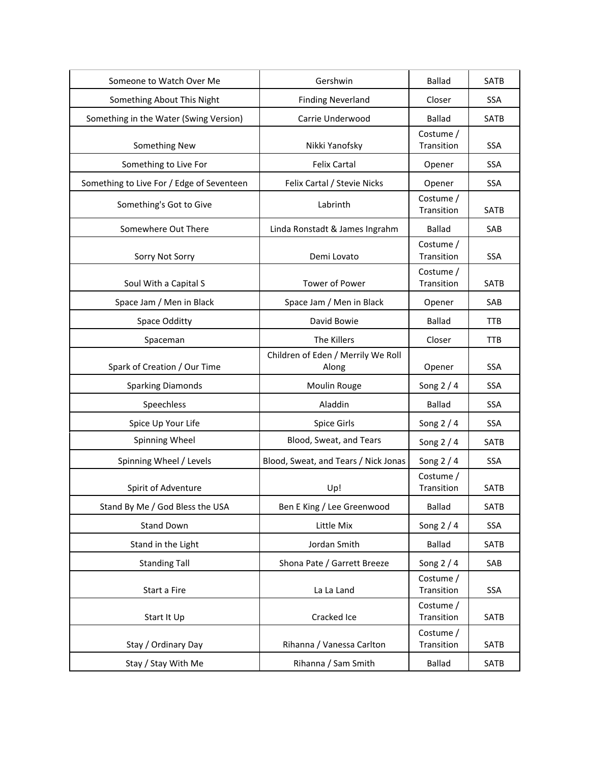| Someone to Watch Over Me                  | Gershwin                                    | <b>Ballad</b>           | <b>SATB</b> |
|-------------------------------------------|---------------------------------------------|-------------------------|-------------|
| Something About This Night                | <b>Finding Neverland</b>                    | Closer                  | SSA         |
| Something in the Water (Swing Version)    | Carrie Underwood                            | <b>Ballad</b>           | SATB        |
| Something New                             | Nikki Yanofsky                              | Costume /<br>Transition | <b>SSA</b>  |
| Something to Live For                     | <b>Felix Cartal</b>                         | Opener                  | <b>SSA</b>  |
| Something to Live For / Edge of Seventeen | Felix Cartal / Stevie Nicks                 | Opener                  | <b>SSA</b>  |
| Something's Got to Give                   | Labrinth                                    | Costume /<br>Transition | SATB        |
| Somewhere Out There                       | Linda Ronstadt & James Ingrahm              | <b>Ballad</b>           | SAB         |
| Sorry Not Sorry                           | Demi Lovato                                 | Costume /<br>Transition | <b>SSA</b>  |
| Soul With a Capital S                     | Tower of Power                              | Costume /<br>Transition | <b>SATB</b> |
| Space Jam / Men in Black                  | Space Jam / Men in Black                    | Opener                  | SAB         |
| Space Odditty                             | David Bowie                                 | <b>Ballad</b>           | <b>TTB</b>  |
| Spaceman                                  | The Killers                                 | Closer                  | <b>TTB</b>  |
| Spark of Creation / Our Time              | Children of Eden / Merrily We Roll<br>Along | Opener                  | <b>SSA</b>  |
| <b>Sparking Diamonds</b>                  | Moulin Rouge                                | Song $2/4$              | <b>SSA</b>  |
| Speechless                                | Aladdin                                     | <b>Ballad</b>           | <b>SSA</b>  |
| Spice Up Your Life                        | Spice Girls                                 | Song $2/4$              | <b>SSA</b>  |
| Spinning Wheel                            | Blood, Sweat, and Tears                     | Song $2/4$              | SATB        |
| Spinning Wheel / Levels                   | Blood, Sweat, and Tears / Nick Jonas        | Song $2/4$              | <b>SSA</b>  |
| Spirit of Adventure                       | Up!                                         | Costume /<br>Transition | <b>SATB</b> |
| Stand By Me / God Bless the USA           | Ben E King / Lee Greenwood                  | <b>Ballad</b>           | SATB        |
| Stand Down                                | Little Mix                                  | Song $2/4$              | SSA         |
| Stand in the Light                        | Jordan Smith                                | <b>Ballad</b>           | <b>SATB</b> |
| <b>Standing Tall</b>                      | Shona Pate / Garrett Breeze                 | Song $2/4$              | SAB         |
| Start a Fire                              | La La Land                                  | Costume /<br>Transition | <b>SSA</b>  |
| Start It Up                               | Cracked Ice                                 | Costume /<br>Transition | SATB        |
| Stay / Ordinary Day                       | Rihanna / Vanessa Carlton                   | Costume /<br>Transition | SATB        |
| Stay / Stay With Me                       | Rihanna / Sam Smith                         | <b>Ballad</b>           | SATB        |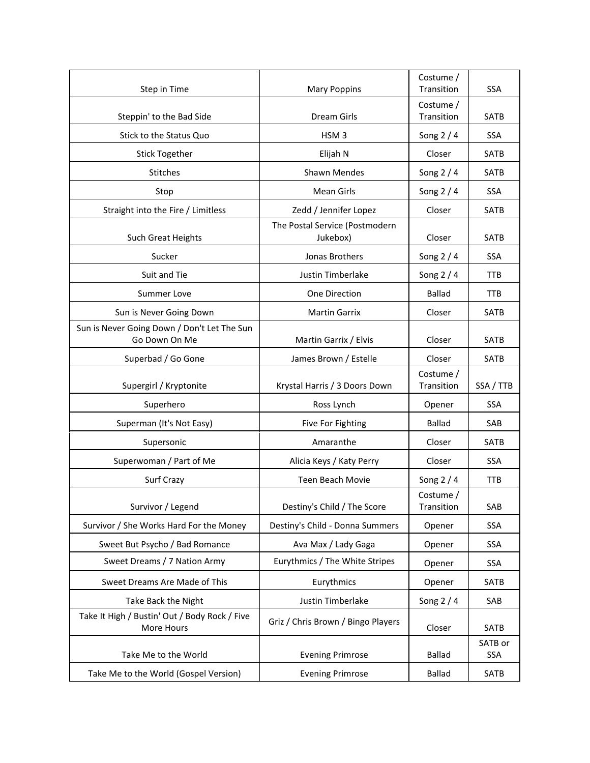| Step in Time                                                 | <b>Mary Poppins</b>                        | Costume /<br>Transition | <b>SSA</b>     |
|--------------------------------------------------------------|--------------------------------------------|-------------------------|----------------|
| Steppin' to the Bad Side                                     | <b>Dream Girls</b>                         | Costume /<br>Transition | <b>SATB</b>    |
| Stick to the Status Quo                                      | HSM <sub>3</sub>                           | Song $2/4$              | <b>SSA</b>     |
| <b>Stick Together</b>                                        | Elijah N                                   | Closer                  | SATB           |
| Stitches                                                     | Shawn Mendes                               | Song $2/4$              | <b>SATB</b>    |
| Stop                                                         | <b>Mean Girls</b>                          | Song $2/4$              | <b>SSA</b>     |
| Straight into the Fire / Limitless                           | Zedd / Jennifer Lopez                      | Closer                  | <b>SATB</b>    |
| Such Great Heights                                           | The Postal Service (Postmodern<br>Jukebox) | Closer                  | <b>SATB</b>    |
| Sucker                                                       | Jonas Brothers                             | Song $2/4$              | <b>SSA</b>     |
| Suit and Tie                                                 | Justin Timberlake                          | Song 2 / 4              | <b>TTB</b>     |
| <b>Summer Love</b>                                           | One Direction                              | <b>Ballad</b>           | <b>TTB</b>     |
| Sun is Never Going Down                                      | <b>Martin Garrix</b>                       | Closer                  | <b>SATB</b>    |
| Sun is Never Going Down / Don't Let The Sun<br>Go Down On Me | Martin Garrix / Elvis                      | Closer                  | <b>SATB</b>    |
| Superbad / Go Gone                                           | James Brown / Estelle                      | Closer                  | <b>SATB</b>    |
|                                                              |                                            |                         |                |
| Supergirl / Kryptonite                                       | Krystal Harris / 3 Doors Down              | Costume /<br>Transition | SSA / TTB      |
| Superhero                                                    | Ross Lynch                                 | Opener                  | <b>SSA</b>     |
| Superman (It's Not Easy)                                     | Five For Fighting                          | Ballad                  | SAB            |
| Supersonic                                                   | Amaranthe                                  | Closer                  | <b>SATB</b>    |
| Superwoman / Part of Me                                      | Alicia Keys / Katy Perry                   | Closer                  | <b>SSA</b>     |
| Surf Crazy                                                   | <b>Teen Beach Movie</b>                    | Song $2/4$              | TTB            |
| Survivor / Legend                                            | Destiny's Child / The Score                | Costume /<br>Transition | SAB            |
| Survivor / She Works Hard For the Money                      | Destiny's Child - Donna Summers            | Opener                  | SSA            |
| Sweet But Psycho / Bad Romance                               | Ava Max / Lady Gaga                        | Opener                  | SSA            |
| Sweet Dreams / 7 Nation Army                                 | Eurythmics / The White Stripes             | Opener                  | <b>SSA</b>     |
| Sweet Dreams Are Made of This                                | Eurythmics                                 | Opener                  | SATB           |
| Take Back the Night                                          | Justin Timberlake                          | Song $2/4$              | SAB            |
| Take It High / Bustin' Out / Body Rock / Five<br>More Hours  | Griz / Chris Brown / Bingo Players         | Closer                  | SATB           |
| Take Me to the World                                         | <b>Evening Primrose</b>                    | <b>Ballad</b>           | SATB or<br>SSA |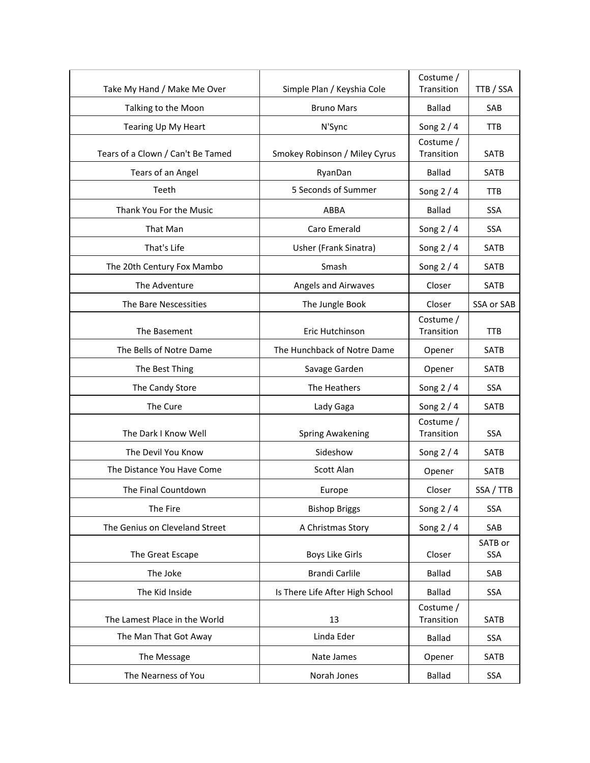| Take My Hand / Make Me Over       | Simple Plan / Keyshia Cole      | Costume /<br>Transition | TTB / SSA             |
|-----------------------------------|---------------------------------|-------------------------|-----------------------|
| Talking to the Moon               | <b>Bruno Mars</b>               | <b>Ballad</b>           | SAB                   |
| Tearing Up My Heart               | N'Sync                          | Song $2/4$              | <b>TTB</b>            |
|                                   |                                 | Costume /               |                       |
| Tears of a Clown / Can't Be Tamed | Smokey Robinson / Miley Cyrus   | Transition              | SATB                  |
| Tears of an Angel                 | RyanDan                         | <b>Ballad</b>           | SATB                  |
| Teeth                             | 5 Seconds of Summer             | Song $2/4$              | TTB                   |
| Thank You For the Music           | ABBA                            | <b>Ballad</b>           | <b>SSA</b>            |
| That Man                          | Caro Emerald                    | Song $2/4$              | <b>SSA</b>            |
| That's Life                       | Usher (Frank Sinatra)           | Song $2/4$              | <b>SATB</b>           |
| The 20th Century Fox Mambo        | Smash                           | Song $2/4$              | <b>SATB</b>           |
| The Adventure                     | Angels and Airwaves             | Closer                  | <b>SATB</b>           |
| The Bare Nescessities             | The Jungle Book                 | Closer                  | SSA or SAB            |
|                                   |                                 | Costume /               |                       |
| The Basement                      | Eric Hutchinson                 | Transition              | <b>TTB</b>            |
| The Bells of Notre Dame           | The Hunchback of Notre Dame     | Opener                  | <b>SATB</b>           |
| The Best Thing                    | Savage Garden                   | Opener                  | SATB                  |
| The Candy Store                   | The Heathers                    | Song $2/4$              | <b>SSA</b>            |
| The Cure                          | Lady Gaga                       | Song $2/4$              | <b>SATB</b>           |
| The Dark I Know Well              | <b>Spring Awakening</b>         | Costume /<br>Transition | <b>SSA</b>            |
| The Devil You Know                | Sideshow                        | Song 2 / 4              | <b>SATB</b>           |
| The Distance You Have Come        | Scott Alan                      | Opener                  | SATB                  |
| The Final Countdown               | Europe                          | Closer                  | SSA / TTB             |
| The Fire                          | <b>Bishop Briggs</b>            | Song $2/4$              | <b>SSA</b>            |
| The Genius on Cleveland Street    | A Christmas Story               | Song $2/4$              | SAB                   |
| The Great Escape                  | <b>Boys Like Girls</b>          | Closer                  | SATB or<br><b>SSA</b> |
| The Joke                          | <b>Brandi Carlile</b>           | <b>Ballad</b>           | SAB                   |
| The Kid Inside                    | Is There Life After High School | <b>Ballad</b>           | SSA                   |
| The Lamest Place in the World     | 13                              | Costume /<br>Transition | <b>SATB</b>           |
| The Man That Got Away             | Linda Eder                      | <b>Ballad</b>           | SSA                   |
| The Message                       | Nate James                      | Opener                  | SATB                  |
| The Nearness of You               | Norah Jones                     | <b>Ballad</b>           | SSA                   |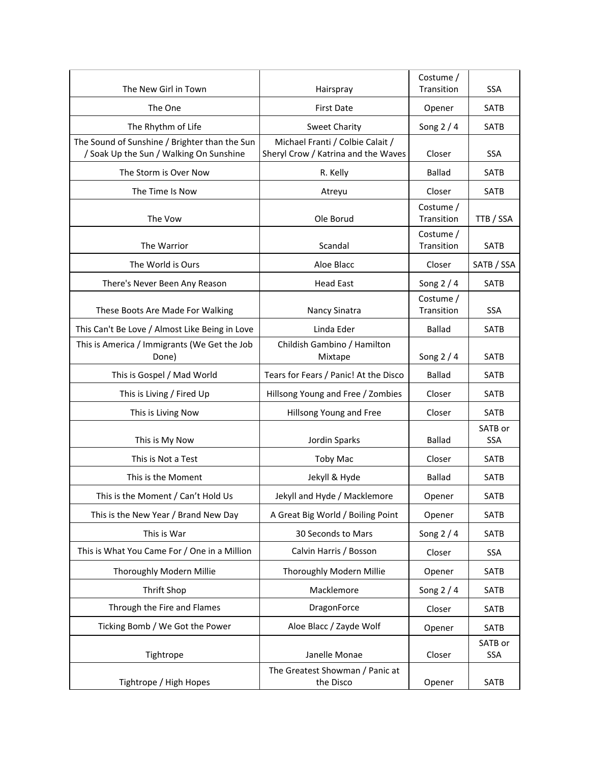| The New Girl in Town                                  | Hairspray                                    | Costume /<br>Transition | <b>SSA</b>            |
|-------------------------------------------------------|----------------------------------------------|-------------------------|-----------------------|
| The One                                               | <b>First Date</b>                            | Opener                  | <b>SATB</b>           |
| The Rhythm of Life                                    | <b>Sweet Charity</b>                         | Song $2/4$              | SATB                  |
| The Sound of Sunshine / Brighter than the Sun         | Michael Franti / Colbie Calait /             |                         |                       |
| / Soak Up the Sun / Walking On Sunshine               | Sheryl Crow / Katrina and the Waves          | Closer                  | <b>SSA</b>            |
| The Storm is Over Now                                 | R. Kelly                                     | <b>Ballad</b>           | SATB                  |
| The Time Is Now                                       | Atreyu                                       | Closer                  | <b>SATB</b>           |
| The Vow                                               | Ole Borud                                    | Costume /<br>Transition | TTB / SSA             |
| The Warrior                                           | Scandal                                      | Costume /<br>Transition | <b>SATB</b>           |
| The World is Ours                                     | Aloe Blacc                                   | Closer                  | SATB / SSA            |
| There's Never Been Any Reason                         | <b>Head East</b>                             | Song $2/4$              | <b>SATB</b>           |
| These Boots Are Made For Walking                      | Nancy Sinatra                                | Costume /<br>Transition | SSA                   |
| This Can't Be Love / Almost Like Being in Love        | Linda Eder                                   | <b>Ballad</b>           | <b>SATB</b>           |
| This is America / Immigrants (We Get the Job<br>Done) | Childish Gambino / Hamilton<br>Mixtape       | Song $2/4$              | SATB                  |
| This is Gospel / Mad World                            | Tears for Fears / Panic! At the Disco        | <b>Ballad</b>           | SATB                  |
| This is Living / Fired Up                             | Hillsong Young and Free / Zombies            | Closer                  | <b>SATB</b>           |
| This is Living Now                                    | Hillsong Young and Free                      | Closer                  | <b>SATB</b>           |
| This is My Now                                        | Jordin Sparks                                | <b>Ballad</b>           | SATB or<br>SSA        |
| This is Not a Test                                    | <b>Toby Mac</b>                              | Closer                  | SATB                  |
| This is the Moment                                    | Jekyll & Hyde                                | <b>Ballad</b>           | SATB                  |
| This is the Moment / Can't Hold Us                    | Jekyll and Hyde / Macklemore                 | Opener                  | <b>SATB</b>           |
| This is the New Year / Brand New Day                  | A Great Big World / Boiling Point            | Opener                  | SATB                  |
| This is War                                           | 30 Seconds to Mars                           | Song $2/4$              | SATB                  |
| This is What You Came For / One in a Million          | Calvin Harris / Bosson                       | Closer                  | SSA                   |
| Thoroughly Modern Millie                              | Thoroughly Modern Millie                     | Opener                  | SATB                  |
| <b>Thrift Shop</b>                                    | Macklemore                                   | Song 2 / 4              | SATB                  |
| Through the Fire and Flames                           | DragonForce                                  | Closer                  | SATB                  |
| Ticking Bomb / We Got the Power                       | Aloe Blacc / Zayde Wolf                      | Opener                  | SATB                  |
| Tightrope                                             | Janelle Monae                                | Closer                  | SATB or<br><b>SSA</b> |
| Tightrope / High Hopes                                | The Greatest Showman / Panic at<br>the Disco | Opener                  | SATB                  |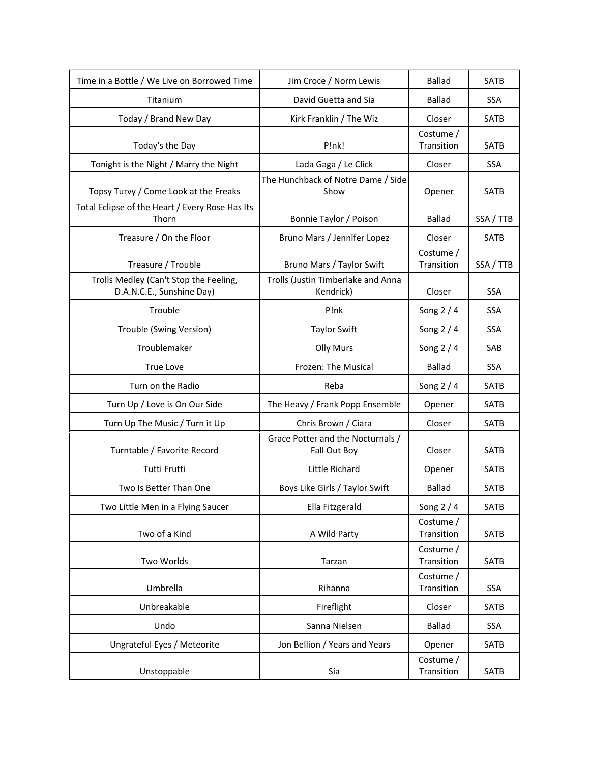| Time in a Bottle / We Live on Borrowed Time                         | Jim Croce / Norm Lewis                            | <b>Ballad</b>           | <b>SATB</b> |
|---------------------------------------------------------------------|---------------------------------------------------|-------------------------|-------------|
| Titanium                                                            | David Guetta and Sia                              | Ballad                  | <b>SSA</b>  |
| Today / Brand New Day                                               | Kirk Franklin / The Wiz                           | Closer                  | <b>SATB</b> |
| Today's the Day                                                     | P!nk!                                             | Costume /<br>Transition | SATB        |
| Tonight is the Night / Marry the Night                              | Lada Gaga / Le Click                              | Closer                  | <b>SSA</b>  |
| Topsy Turvy / Come Look at the Freaks                               | The Hunchback of Notre Dame / Side<br>Show        | Opener                  | <b>SATB</b> |
| Total Eclipse of the Heart / Every Rose Has Its<br>Thorn            | Bonnie Taylor / Poison                            | <b>Ballad</b>           | SSA / TTB   |
| Treasure / On the Floor                                             | Bruno Mars / Jennifer Lopez                       | Closer                  | <b>SATB</b> |
| Treasure / Trouble                                                  | Bruno Mars / Taylor Swift                         | Costume /<br>Transition | SSA / TTB   |
| Trolls Medley (Can't Stop the Feeling,<br>D.A.N.C.E., Sunshine Day) | Trolls (Justin Timberlake and Anna<br>Kendrick)   | Closer                  | SSA         |
| Trouble                                                             | P!nk                                              | Song $2/4$              | SSA         |
| Trouble (Swing Version)                                             | <b>Taylor Swift</b>                               | Song 2 / 4              | <b>SSA</b>  |
| Troublemaker                                                        | <b>Olly Murs</b>                                  | Song $2/4$              | SAB         |
| True Love                                                           | Frozen: The Musical                               | <b>Ballad</b>           | <b>SSA</b>  |
| Turn on the Radio                                                   | Reba                                              | Song $2/4$              | <b>SATB</b> |
| Turn Up / Love is On Our Side                                       | The Heavy / Frank Popp Ensemble                   | Opener                  | <b>SATB</b> |
| Turn Up The Music / Turn it Up                                      | Chris Brown / Ciara                               | Closer                  | <b>SATB</b> |
| Turntable / Favorite Record                                         | Grace Potter and the Nocturnals /<br>Fall Out Boy | Closer                  | SATB        |
| <b>Tutti Frutti</b>                                                 | Little Richard                                    | Opener                  | <b>SATB</b> |
| Two Is Better Than One                                              | Boys Like Girls / Taylor Swift                    | <b>Ballad</b>           | <b>SATB</b> |
| Two Little Men in a Flying Saucer                                   | Ella Fitzgerald                                   | Song $2/4$              | SATB        |
| Two of a Kind                                                       | A Wild Party                                      | Costume /<br>Transition | SATB        |
| Two Worlds                                                          | Tarzan                                            | Costume /<br>Transition | SATB        |
| Umbrella                                                            | Rihanna                                           | Costume /<br>Transition | <b>SSA</b>  |
| Unbreakable                                                         | Fireflight                                        | Closer                  | SATB        |
| Undo                                                                | Sanna Nielsen                                     | <b>Ballad</b>           | SSA         |
| Ungrateful Eyes / Meteorite                                         | Jon Bellion / Years and Years                     | Opener                  | <b>SATB</b> |
| Unstoppable                                                         | Sia                                               | Costume /<br>Transition | SATB        |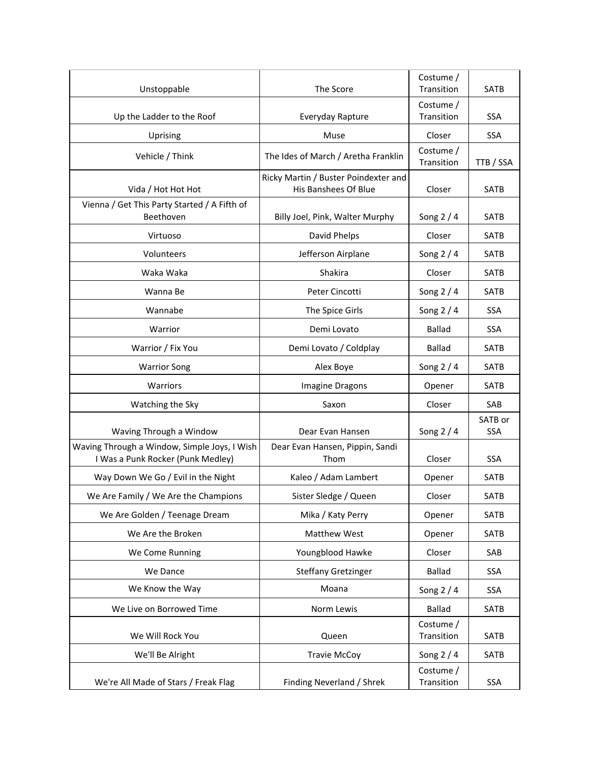| Unstoppable                                                                       | The Score                                                    | Costume /<br>Transition | SATB                  |
|-----------------------------------------------------------------------------------|--------------------------------------------------------------|-------------------------|-----------------------|
| Up the Ladder to the Roof                                                         | Everyday Rapture                                             | Costume /<br>Transition | <b>SSA</b>            |
| Uprising                                                                          | Muse                                                         | Closer                  | <b>SSA</b>            |
| Vehicle / Think                                                                   | The Ides of March / Aretha Franklin                          | Costume /<br>Transition | TTB / SSA             |
| Vida / Hot Hot Hot                                                                | Ricky Martin / Buster Poindexter and<br>His Banshees Of Blue | Closer                  | <b>SATB</b>           |
| Vienna / Get This Party Started / A Fifth of<br>Beethoven                         | Billy Joel, Pink, Walter Murphy                              | Song $2/4$              | <b>SATB</b>           |
| Virtuoso                                                                          | David Phelps                                                 | Closer                  | <b>SATB</b>           |
| Volunteers                                                                        | Jefferson Airplane                                           | Song $2/4$              | <b>SATB</b>           |
| Waka Waka                                                                         | Shakira                                                      | Closer                  | <b>SATB</b>           |
| Wanna Be                                                                          | Peter Cincotti                                               | Song $2/4$              | <b>SATB</b>           |
| Wannabe                                                                           | The Spice Girls                                              | Song $2/4$              | <b>SSA</b>            |
| Warrior                                                                           | Demi Lovato                                                  | <b>Ballad</b>           | <b>SSA</b>            |
| Warrior / Fix You                                                                 | Demi Lovato / Coldplay                                       | <b>Ballad</b>           | <b>SATB</b>           |
| <b>Warrior Song</b>                                                               | Alex Boye                                                    | Song $2/4$              | <b>SATB</b>           |
| Warriors                                                                          | Imagine Dragons                                              | Opener                  | SATB                  |
| Watching the Sky                                                                  | Saxon                                                        | Closer                  | SAB                   |
| Waving Through a Window                                                           | Dear Evan Hansen                                             | Song $2/4$              | SATB or<br><b>SSA</b> |
| Waving Through a Window, Simple Joys, I Wish<br>I Was a Punk Rocker (Punk Medley) | Dear Evan Hansen, Pippin, Sandi<br>Thom                      | Closer                  | SSA                   |
| Way Down We Go / Evil in the Night                                                | Kaleo / Adam Lambert                                         | Opener                  | SATB                  |
| We Are Family / We Are the Champions                                              | Sister Sledge / Queen                                        | Closer                  | <b>SATB</b>           |
| We Are Golden / Teenage Dream                                                     | Mika / Katy Perry                                            | Opener                  | SATB                  |
| We Are the Broken                                                                 | Matthew West                                                 | Opener                  | SATB                  |
| We Come Running                                                                   | Youngblood Hawke                                             | Closer                  | SAB                   |
| We Dance                                                                          | <b>Steffany Gretzinger</b>                                   | <b>Ballad</b>           | SSA                   |
| We Know the Way                                                                   | Moana                                                        | Song $2/4$              | SSA                   |
| We Live on Borrowed Time                                                          | Norm Lewis                                                   | <b>Ballad</b>           | <b>SATB</b>           |
| We Will Rock You                                                                  | Queen                                                        | Costume /<br>Transition | SATB                  |
| We'll Be Alright                                                                  | <b>Travie McCoy</b>                                          | Song $2/4$              | SATB                  |
| We're All Made of Stars / Freak Flag                                              | Finding Neverland / Shrek                                    | Costume /<br>Transition | <b>SSA</b>            |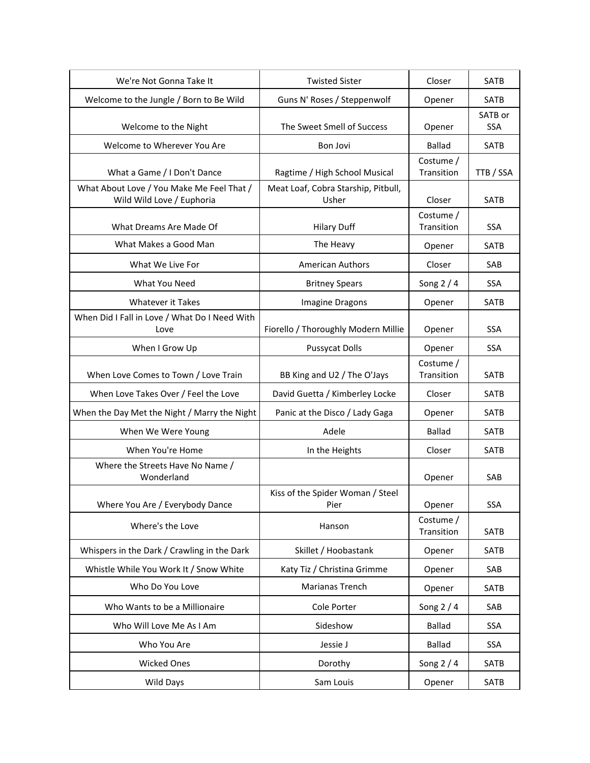| We're Not Gonna Take It                                                | <b>Twisted Sister</b>                        | Closer                     | SATB        |
|------------------------------------------------------------------------|----------------------------------------------|----------------------------|-------------|
| Welcome to the Jungle / Born to Be Wild                                | Guns N' Roses / Steppenwolf                  | Opener                     | <b>SATB</b> |
|                                                                        | The Sweet Smell of Success                   |                            | SATB or     |
| Welcome to the Night                                                   |                                              | Opener                     | <b>SSA</b>  |
| Welcome to Wherever You Are                                            | Bon Jovi                                     | <b>Ballad</b><br>Costume / | <b>SATB</b> |
| What a Game / I Don't Dance                                            | Ragtime / High School Musical                | Transition                 | TTB / SSA   |
| What About Love / You Make Me Feel That /<br>Wild Wild Love / Euphoria | Meat Loaf, Cobra Starship, Pitbull,<br>Usher | Closer                     | <b>SATB</b> |
| What Dreams Are Made Of                                                | <b>Hilary Duff</b>                           | Costume /<br>Transition    | <b>SSA</b>  |
| What Makes a Good Man                                                  | The Heavy                                    | Opener                     | <b>SATB</b> |
| What We Live For                                                       | <b>American Authors</b>                      | Closer                     | SAB         |
| What You Need                                                          | <b>Britney Spears</b>                        | Song 2 / 4                 | <b>SSA</b>  |
| <b>Whatever it Takes</b>                                               | Imagine Dragons                              | Opener                     | <b>SATB</b> |
| When Did I Fall in Love / What Do I Need With<br>Love                  | Fiorello / Thoroughly Modern Millie          | Opener                     | <b>SSA</b>  |
| When I Grow Up                                                         | <b>Pussycat Dolls</b>                        | Opener                     | <b>SSA</b>  |
| When Love Comes to Town / Love Train                                   | BB King and U2 / The O'Jays                  | Costume /<br>Transition    | <b>SATB</b> |
| When Love Takes Over / Feel the Love                                   | David Guetta / Kimberley Locke               | Closer                     | <b>SATB</b> |
| When the Day Met the Night / Marry the Night                           | Panic at the Disco / Lady Gaga               | Opener                     | <b>SATB</b> |
| When We Were Young                                                     | Adele                                        | <b>Ballad</b>              | <b>SATB</b> |
| When You're Home                                                       | In the Heights                               | Closer                     | SATB        |
| Where the Streets Have No Name /<br>Wonderland                         |                                              | Opener                     | SAB         |
| Where You Are / Everybody Dance                                        | Kiss of the Spider Woman / Steel<br>Pier     | Opener                     | SSA         |
| Where's the Love                                                       | Hanson                                       | Costume /<br>Transition    | SATB        |
| Whispers in the Dark / Crawling in the Dark                            | Skillet / Hoobastank                         | Opener                     | <b>SATB</b> |
| Whistle While You Work It / Snow White                                 | Katy Tiz / Christina Grimme                  | Opener                     | SAB         |
| Who Do You Love                                                        | Marianas Trench                              | Opener                     | SATB        |
| Who Wants to be a Millionaire                                          | Cole Porter                                  | Song $2/4$                 | SAB         |
| Who Will Love Me As I Am                                               | Sideshow                                     | <b>Ballad</b>              | SSA         |
| Who You Are                                                            | Jessie J                                     | <b>Ballad</b>              | SSA         |
| <b>Wicked Ones</b>                                                     | Dorothy                                      | Song $2/4$                 | SATB        |
| Wild Days                                                              | Sam Louis                                    | Opener                     | SATB        |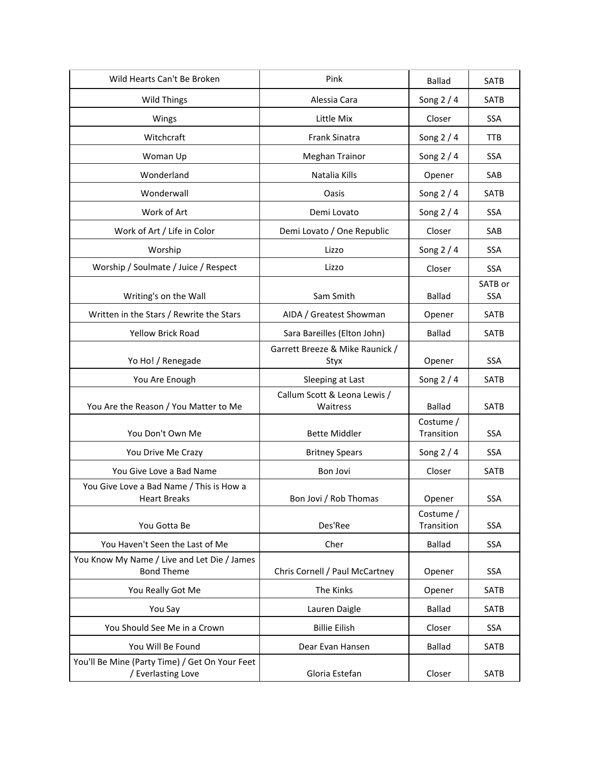| Wild Hearts Can't Be Broken                                          | Pink                                     | <b>Ballad</b>           | <b>SATB</b>           |
|----------------------------------------------------------------------|------------------------------------------|-------------------------|-----------------------|
| <b>Wild Things</b>                                                   | Alessia Cara                             | Song $2/4$              | <b>SATB</b>           |
| Wings                                                                | Little Mix                               | Closer                  | <b>SSA</b>            |
| Witchcraft                                                           | <b>Frank Sinatra</b>                     | Song $2/4$              | <b>TTB</b>            |
| Woman Up                                                             | <b>Meghan Trainor</b>                    | Song $2/4$              | <b>SSA</b>            |
| Wonderland                                                           | Natalia Kills                            | Opener                  | SAB                   |
| Wonderwall                                                           | Oasis                                    | Song 2 / 4              | SATB                  |
| Work of Art                                                          | Demi Lovato                              | Song $2/4$              | <b>SSA</b>            |
| Work of Art / Life in Color                                          | Demi Lovato / One Republic               | Closer                  | SAB                   |
| Worship                                                              | Lizzo                                    | Song $2/4$              | <b>SSA</b>            |
| Worship / Soulmate / Juice / Respect                                 | Lizzo                                    | Closer                  | <b>SSA</b>            |
| Writing's on the Wall                                                | Sam Smith                                | <b>Ballad</b>           | SATB or<br><b>SSA</b> |
| Written in the Stars / Rewrite the Stars                             | AIDA / Greatest Showman                  | Opener                  | <b>SATB</b>           |
| Yellow Brick Road                                                    | Sara Bareilles (Elton John)              | <b>Ballad</b>           | SATB                  |
| Yo Ho! / Renegade                                                    | Garrett Breeze & Mike Raunick /<br>Styx  | Opener                  | <b>SSA</b>            |
| You Are Enough                                                       | Sleeping at Last                         | Song $2/4$              | SATB                  |
| You Are the Reason / You Matter to Me                                | Callum Scott & Leona Lewis /<br>Waitress | <b>Ballad</b>           | SATB                  |
| You Don't Own Me                                                     | <b>Bette Middler</b>                     | Costume /<br>Transition | <b>SSA</b>            |
| You Drive Me Crazy                                                   | <b>Britney Spears</b>                    | Song $2/4$              | <b>SSA</b>            |
| You Give Love a Bad Name                                             | Bon Jovi                                 | Closer                  | SATB                  |
| You Give Love a Bad Name / This is How a<br><b>Heart Breaks</b>      | Bon Jovi / Rob Thomas                    | Opener                  | <b>SSA</b>            |
| You Gotta Be                                                         | Des'Ree                                  | Costume /<br>Transition | <b>SSA</b>            |
| You Haven't Seen the Last of Me                                      | Cher                                     | <b>Ballad</b>           | <b>SSA</b>            |
| You Know My Name / Live and Let Die / James<br><b>Bond Theme</b>     | Chris Cornell / Paul McCartney           | Opener                  | SSA                   |
| You Really Got Me                                                    | The Kinks                                | Opener                  | SATB                  |
| You Say                                                              | Lauren Daigle                            | <b>Ballad</b>           | SATB                  |
| You Should See Me in a Crown                                         | <b>Billie Eilish</b>                     | Closer                  | SSA                   |
| You Will Be Found                                                    | Dear Evan Hansen                         | <b>Ballad</b>           | SATB                  |
| You'll Be Mine (Party Time) / Get On Your Feet<br>/ Everlasting Love | Gloria Estefan                           | Closer                  | SATB                  |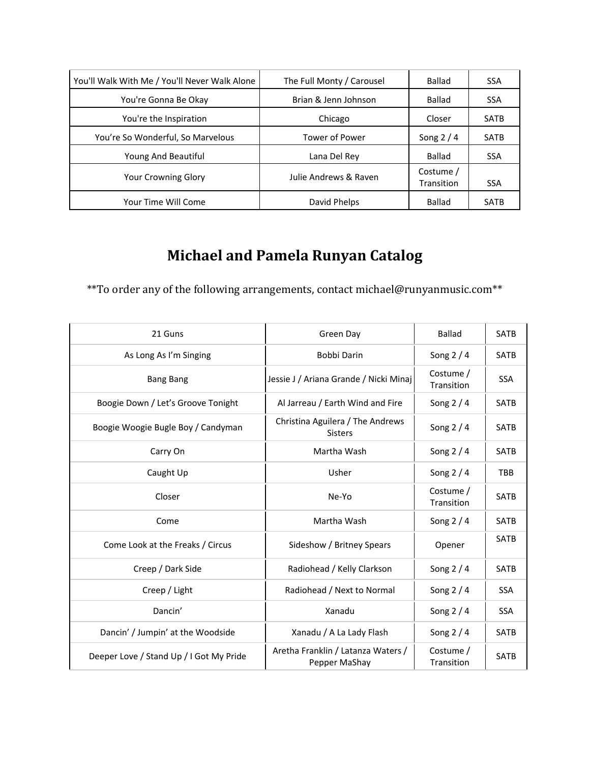| You'll Walk With Me / You'll Never Walk Alone | The Full Monty / Carousel | Ballad                  | <b>SSA</b>  |
|-----------------------------------------------|---------------------------|-------------------------|-------------|
| You're Gonna Be Okay                          | Brian & Jenn Johnson      | Ballad                  | <b>SSA</b>  |
| You're the Inspiration                        | Chicago                   | Closer                  | <b>SATB</b> |
| You're So Wonderful, So Marvelous             | Tower of Power            | Song $2/4$              | <b>SATB</b> |
| Young And Beautiful                           | Lana Del Rey              | Ballad                  | <b>SSA</b>  |
| <b>Your Crowning Glory</b>                    | Julie Andrews & Raven     | Costume /<br>Transition | <b>SSA</b>  |
| Your Time Will Come                           | David Phelps              | Ballad                  | <b>SATB</b> |

## **Michael and Pamela Runyan Catalog**

\*\*To order any of the following arrangements, contact michael@runyanmusic.com\*\*

| 21 Guns                                 | Green Day                                           | <b>Ballad</b>           | <b>SATB</b> |
|-----------------------------------------|-----------------------------------------------------|-------------------------|-------------|
| As Long As I'm Singing                  | Bobbi Darin                                         | Song $2/4$              | <b>SATB</b> |
| <b>Bang Bang</b>                        | Jessie J / Ariana Grande / Nicki Minaj              | Costume /<br>Transition | SSA         |
| Boogie Down / Let's Groove Tonight      | Al Jarreau / Earth Wind and Fire                    | Song $2/4$              | <b>SATB</b> |
| Boogie Woogie Bugle Boy / Candyman      | Christina Aguilera / The Andrews<br><b>Sisters</b>  | Song $2/4$              | <b>SATB</b> |
| Carry On                                | Martha Wash                                         | Song $2/4$              | <b>SATB</b> |
| Caught Up                               | Usher                                               | Song $2/4$              | <b>TBB</b>  |
| Closer                                  | Ne-Yo                                               | Costume /<br>Transition | <b>SATB</b> |
| Come                                    | Martha Wash                                         | Song $2/4$              | <b>SATB</b> |
| Come Look at the Freaks / Circus        | Sideshow / Britney Spears                           | Opener                  | <b>SATB</b> |
| Creep / Dark Side                       | Radiohead / Kelly Clarkson                          | Song $2/4$              | <b>SATB</b> |
| Creep / Light                           | Radiohead / Next to Normal                          | Song $2/4$              | <b>SSA</b>  |
| Dancin'                                 | Xanadu                                              | Song $2/4$              | <b>SSA</b>  |
| Dancin' / Jumpin' at the Woodside       | Xanadu / A La Lady Flash                            | Song $2/4$              | <b>SATB</b> |
| Deeper Love / Stand Up / I Got My Pride | Aretha Franklin / Latanza Waters /<br>Pepper MaShay | Costume /<br>Transition | <b>SATB</b> |